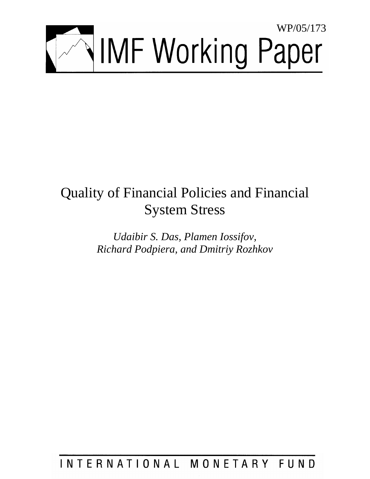

# Quality of Financial Policies and Financial System Stress

*Udaibir S. Das, Plamen Iossifov, Richard Podpiera, and Dmitriy Rozhkov* 

INTERNATIONAL MONETARY FUND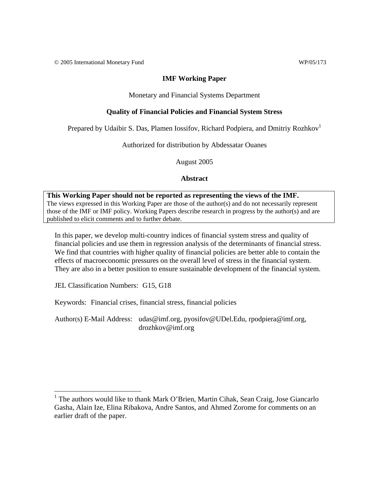© 2005 International Monetary Fund WP/05/173

## **IMF Working Paper**

Monetary and Financial Systems Department

# **Quality of Financial Policies and Financial System Stress**

Prepared by Udaibir S. Das, Plamen Iossifov, Richard Podpiera, and Dmitriy Rozhkov<sup>1</sup>

Authorized for distribution by Abdessatar Ouanes

August 2005

## **Abstract**

**This Working Paper should not be reported as representing the views of the IMF.** The views expressed in this Working Paper are those of the author(s) and do not necessarily represent those of the IMF or IMF policy. Working Papers describe research in progress by the author(s) and are published to elicit comments and to further debate.

In this paper, we develop multi-country indices of financial system stress and quality of financial policies and use them in regression analysis of the determinants of financial stress. We find that countries with higher quality of financial policies are better able to contain the effects of macroeconomic pressures on the overall level of stress in the financial system. They are also in a better position to ensure sustainable development of the financial system.

JEL Classification Numbers: G15, G18

Keywords: Financial crises, financial stress, financial policies

Author(s) E-Mail Address: udas@imf.org, pyosifov@UDel.Edu, rpodpiera@imf.org, drozhkov@imf.org

<sup>&</sup>lt;sup>1</sup> The authors would like to thank Mark O'Brien, Martin Cihak, Sean Craig, Jose Giancarlo Gasha, Alain Ize, Elina Ribakova, Andre Santos, and Ahmed Zorome for comments on an earlier draft of the paper.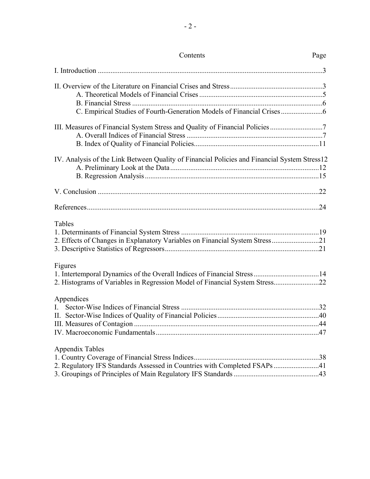| Contents                                                                                            | Page |
|-----------------------------------------------------------------------------------------------------|------|
|                                                                                                     |      |
|                                                                                                     |      |
| III. Measures of Financial System Stress and Quality of Financial Policies                          |      |
| IV. Analysis of the Link Between Quality of Financial Policies and Financial System Stress12        |      |
|                                                                                                     |      |
|                                                                                                     |      |
| Tables<br>2. Effects of Changes in Explanatory Variables on Financial System Stress21               |      |
| Figures<br>2. Histograms of Variables in Regression Model of Financial System Stress22              |      |
| Appendices<br>$\mathbf{L}$                                                                          |      |
| <b>Appendix Tables</b><br>2. Regulatory IFS Standards Assessed in Countries with Completed FSAPs 41 |      |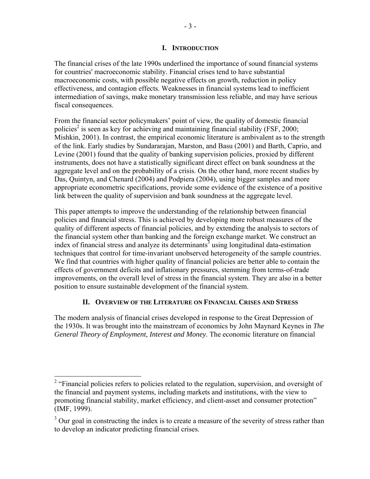# **I. INTRODUCTION**

The financial crises of the late 1990s underlined the importance of sound financial systems for countries' macroeconomic stability. Financial crises tend to have substantial macroeconomic costs, with possible negative effects on growth, reduction in policy effectiveness, and contagion effects. Weaknesses in financial systems lead to inefficient intermediation of savings, make monetary transmission less reliable, and may have serious fiscal consequences.

From the financial sector policymakers' point of view, the quality of domestic financial policies<sup>2</sup> is seen as key for achieving and maintaining financial stability (FSF, 2000; Mishkin, 2001). In contrast, the empirical economic literature is ambivalent as to the strength of the link. Early studies by Sundararajan, Marston, and Basu (2001) and Barth, Caprio, and Levine (2001) found that the quality of banking supervision policies, proxied by different instruments, does not have a statistically significant direct effect on bank soundness at the aggregate level and on the probability of a crisis. On the other hand, more recent studies by Das, Quintyn, and Chenard (2004) and Podpiera (2004), using bigger samples and more appropriate econometric specifications, provide some evidence of the existence of a positive link between the quality of supervision and bank soundness at the aggregate level.

This paper attempts to improve the understanding of the relationship between financial policies and financial stress. This is achieved by developing more robust measures of the quality of different aspects of financial policies, and by extending the analysis to sectors of the financial system other than banking and the foreign exchange market. We construct an index of financial stress and analyze its determinants<sup>3</sup> using longitudinal data-estimation techniques that control for time-invariant unobserved heterogeneity of the sample countries. We find that countries with higher quality of financial policies are better able to contain the effects of government deficits and inflationary pressures, stemming from terms-of-trade improvements, on the overall level of stress in the financial system. They are also in a better position to ensure sustainable development of the financial system.

# **II. OVERVIEW OF THE LITERATURE ON FINANCIAL CRISES AND STRESS**

The modern analysis of financial crises developed in response to the Great Depression of the 1930s. It was brought into the mainstream of economics by John Maynard Keynes in *The General Theory of Employment, Interest and Money*. The economic literature on financial

<sup>&</sup>lt;sup>2</sup> "Financial policies refers to policies related to the regulation, supervision, and oversight of the financial and payment systems, including markets and institutions, with the view to promoting financial stability, market efficiency, and client-asset and consumer protection" (IMF, 1999).

 $3$  Our goal in constructing the index is to create a measure of the severity of stress rather than to develop an indicator predicting financial crises.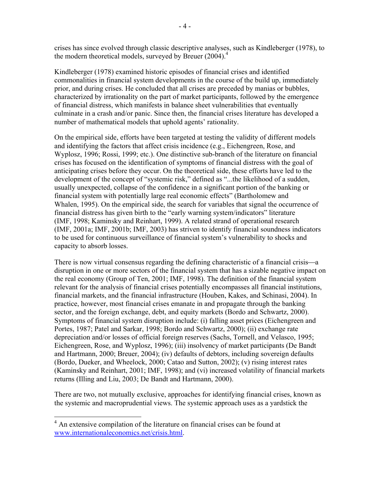crises has since evolved through classic descriptive analyses, such as Kindleberger (1978), to the modern theoretical models, surveyed by Breuer (2004).<sup>4</sup>

Kindleberger (1978) examined historic episodes of financial crises and identified commonalities in financial system developments in the course of the build up, immediately prior, and during crises. He concluded that all crises are preceded by manias or bubbles, characterized by irrationality on the part of market participants, followed by the emergence of financial distress, which manifests in balance sheet vulnerabilities that eventually culminate in a crash and/or panic. Since then, the financial crises literature has developed a number of mathematical models that uphold agents' rationality.

On the empirical side, efforts have been targeted at testing the validity of different models and identifying the factors that affect crisis incidence (e.g., Eichengreen, Rose, and Wyplosz, 1996; Rossi, 1999; etc.). One distinctive sub-branch of the literature on financial crises has focused on the identification of symptoms of financial distress with the goal of anticipating crises before they occur. On the theoretical side, these efforts have led to the development of the concept of "systemic risk," defined as "...the likelihood of a sudden, usually unexpected, collapse of the confidence in a significant portion of the banking or financial system with potentially large real economic effects" (Bartholomew and Whalen, 1995). On the empirical side, the search for variables that signal the occurrence of financial distress has given birth to the "early warning system/indicators" literature (IMF, 1998; Kaminsky and Reinhart, 1999). A related strand of operational research (IMF, 2001a; IMF, 2001b; IMF, 2003) has striven to identify financial soundness indicators to be used for continuous surveillance of financial system's vulnerability to shocks and capacity to absorb losses.

There is now virtual consensus regarding the defining characteristic of a financial crisis—a disruption in one or more sectors of the financial system that has a sizable negative impact on the real economy (Group of Ten, 2001; IMF, 1998). The definition of the financial system relevant for the analysis of financial crises potentially encompasses all financial institutions, financial markets, and the financial infrastructure (Houben, Kakes, and Schinasi, 2004). In practice, however, most financial crises emanate in and propagate through the banking sector, and the foreign exchange, debt, and equity markets (Bordo and Schwartz, 2000). Symptoms of financial system disruption include: (i) falling asset prices (Eichengreen and Portes, 1987; Patel and Sarkar, 1998; Bordo and Schwartz, 2000); (ii) exchange rate depreciation and/or losses of official foreign reserves (Sachs, Tornell, and Velasco, 1995; Eichengreen, Rose, and Wyplosz, 1996); (iii) insolvency of market participants (De Bandt and Hartmann, 2000; Breuer, 2004); (iv) defaults of debtors, including sovereign defaults (Bordo, Dueker, and Wheelock, 2000; Catao and Sutton, 2002); (v) rising interest rates (Kaminsky and Reinhart, 2001; IMF, 1998); and (vi) increased volatility of financial markets returns (Illing and Liu, 2003; De Bandt and Hartmann, 2000).

There are two, not mutually exclusive, approaches for identifying financial crises, known as the systemic and macroprudential views. The systemic approach uses as a yardstick the

<sup>&</sup>lt;sup>4</sup> An extensive compilation of the literature on financial crises can be found at www.internationaleconomics.net/crisis.html.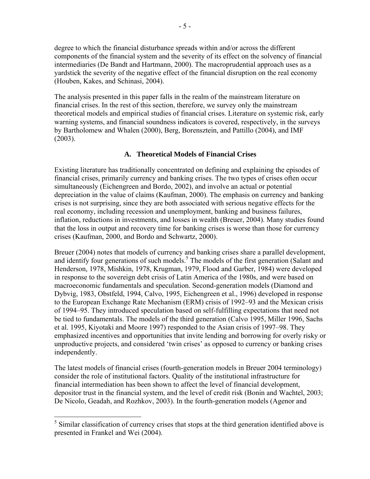degree to which the financial disturbance spreads within and/or across the different components of the financial system and the severity of its effect on the solvency of financial intermediaries (De Bandt and Hartmann, 2000). The macroprudential approach uses as a yardstick the severity of the negative effect of the financial disruption on the real economy (Houben, Kakes, and Schinasi, 2004).

The analysis presented in this paper falls in the realm of the mainstream literature on financial crises. In the rest of this section, therefore, we survey only the mainstream theoretical models and empirical studies of financial crises. Literature on systemic risk, early warning systems, and financial soundness indicators is covered, respectively, in the surveys by Bartholomew and Whalen (2000), Berg, Borensztein, and Pattillo (2004), and IMF (2003).

# **A. Theoretical Models of Financial Crises**

Existing literature has traditionally concentrated on defining and explaining the episodes of financial crises, primarily currency and banking crises. The two types of crises often occur simultaneously (Eichengreen and Bordo, 2002), and involve an actual or potential depreciation in the value of claims (Kaufman, 2000). The emphasis on currency and banking crises is not surprising, since they are both associated with serious negative effects for the real economy, including recession and unemployment, banking and business failures, inflation, reductions in investments, and losses in wealth (Breuer, 2004). Many studies found that the loss in output and recovery time for banking crises is worse than those for currency crises (Kaufman, 2000, and Bordo and Schwartz, 2000).

Breuer (2004) notes that models of currency and banking crises share a parallel development, and identify four generations of such models.<sup>5</sup> The models of the first generation (Salant and Henderson, 1978, Mishkin, 1978, Krugman, 1979, Flood and Garber, 1984) were developed in response to the sovereign debt crisis of Latin America of the 1980s, and were based on macroeconomic fundamentals and speculation. Second-generation models (Diamond and Dybvig, 1983, Obstfeld, 1994, Calvo, 1995, Eichengreen et al., 1996) developed in response to the European Exchange Rate Mechanism (ERM) crisis of 1992–93 and the Mexican crisis of 1994–95. They introduced speculation based on self-fulfilling expectations that need not be tied to fundamentals. The models of the third generation (Calvo 1995, Miller 1996, Sachs et al. 1995, Kiyotaki and Moore 1997) responded to the Asian crisis of 1997–98. They emphasized incentives and opportunities that invite lending and borrowing for overly risky or unproductive projects, and considered 'twin crises' as opposed to currency or banking crises independently.

The latest models of financial crises (fourth-generation models in Breuer 2004 terminology) consider the role of institutional factors. Quality of the institutional infrastructure for financial intermediation has been shown to affect the level of financial development, depositor trust in the financial system, and the level of credit risk (Bonin and Wachtel, 2003; De Nicolo, Geadah, and Rozhkov, 2003). In the fourth-generation models (Agenor and

 $\overline{a}$ 

 $<sup>5</sup>$  Similar classification of currency crises that stops at the third generation identified above is</sup> presented in Frankel and Wei (2004).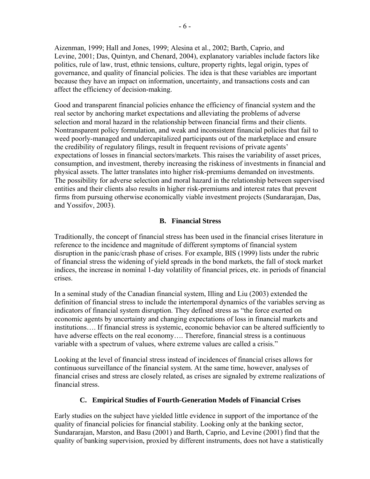Aizenman, 1999; Hall and Jones, 1999; Alesina et al., 2002; Barth, Caprio, and Levine, 2001; Das, Quintyn, and Chenard, 2004), explanatory variables include factors like politics, rule of law, trust, ethnic tensions, culture, property rights, legal origin, types of governance, and quality of financial policies. The idea is that these variables are important because they have an impact on information, uncertainty, and transactions costs and can affect the efficiency of decision-making.

Good and transparent financial policies enhance the efficiency of financial system and the real sector by anchoring market expectations and alleviating the problems of adverse selection and moral hazard in the relationship between financial firms and their clients. Nontransparent policy formulation, and weak and inconsistent financial policies that fail to weed poorly-managed and undercapitalized participants out of the marketplace and ensure the credibility of regulatory filings, result in frequent revisions of private agents' expectations of losses in financial sectors/markets. This raises the variability of asset prices, consumption, and investment, thereby increasing the riskiness of investments in financial and physical assets. The latter translates into higher risk-premiums demanded on investments. The possibility for adverse selection and moral hazard in the relationship between supervised entities and their clients also results in higher risk-premiums and interest rates that prevent firms from pursuing otherwise economically viable investment projects (Sundararajan, Das, and Yossifov, 2003).

# **B. Financial Stress**

Traditionally, the concept of financial stress has been used in the financial crises literature in reference to the incidence and magnitude of different symptoms of financial system disruption in the panic/crash phase of crises. For example, BIS (1999) lists under the rubric of financial stress the widening of yield spreads in the bond markets, the fall of stock market indices, the increase in nominal 1-day volatility of financial prices, etc. in periods of financial crises.

In a seminal study of the Canadian financial system, Illing and Liu (2003) extended the definition of financial stress to include the intertemporal dynamics of the variables serving as indicators of financial system disruption. They defined stress as "the force exerted on economic agents by uncertainty and changing expectations of loss in financial markets and institutions…. If financial stress is systemic, economic behavior can be altered sufficiently to have adverse effects on the real economy.... Therefore, financial stress is a continuous variable with a spectrum of values, where extreme values are called a crisis."

Looking at the level of financial stress instead of incidences of financial crises allows for continuous surveillance of the financial system. At the same time, however, analyses of financial crises and stress are closely related, as crises are signaled by extreme realizations of financial stress.

# **C. Empirical Studies of Fourth-Generation Models of Financial Crises**

Early studies on the subject have yielded little evidence in support of the importance of the quality of financial policies for financial stability. Looking only at the banking sector, Sundararajan, Marston, and Basu (2001) and Barth, Caprio, and Levine (2001) find that the quality of banking supervision, proxied by different instruments, does not have a statistically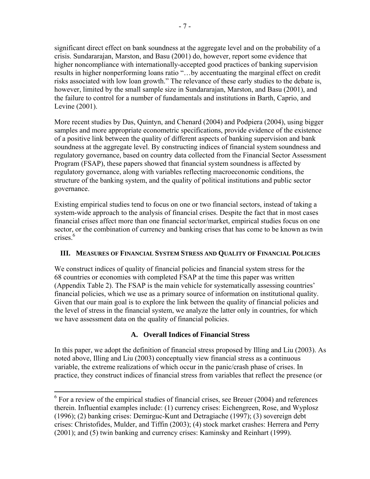significant direct effect on bank soundness at the aggregate level and on the probability of a crisis. Sundararajan, Marston, and Basu (2001) do, however, report some evidence that higher noncompliance with internationally-accepted good practices of banking supervision results in higher nonperforming loans ratio "…by accentuating the marginal effect on credit risks associated with low loan growth." The relevance of these early studies to the debate is, however, limited by the small sample size in Sundararajan, Marston, and Basu (2001), and the failure to control for a number of fundamentals and institutions in Barth, Caprio, and Levine (2001).

More recent studies by Das, Quintyn, and Chenard (2004) and Podpiera (2004), using bigger samples and more appropriate econometric specifications, provide evidence of the existence of a positive link between the quality of different aspects of banking supervision and bank soundness at the aggregate level. By constructing indices of financial system soundness and regulatory governance, based on country data collected from the Financial Sector Assessment Program (FSAP), these papers showed that financial system soundness is affected by regulatory governance, along with variables reflecting macroeconomic conditions, the structure of the banking system, and the quality of political institutions and public sector governance.

Existing empirical studies tend to focus on one or two financial sectors, instead of taking a system-wide approach to the analysis of financial crises. Despite the fact that in most cases financial crises affect more than one financial sector/market, empirical studies focus on one sector, or the combination of currency and banking crises that has come to be known as twin crises.<sup>6</sup>

# **III. MEASURES OF FINANCIAL SYSTEM STRESS AND QUALITY OF FINANCIAL POLICIES**

We construct indices of quality of financial policies and financial system stress for the 68 countries or economies with completed FSAP at the time this paper was written (Appendix Table 2). The FSAP is the main vehicle for systematically assessing countries' financial policies, which we use as a primary source of information on institutional quality. Given that our main goal is to explore the link between the quality of financial policies and the level of stress in the financial system, we analyze the latter only in countries, for which we have assessment data on the quality of financial policies.

# **A. Overall Indices of Financial Stress**

In this paper, we adopt the definition of financial stress proposed by Illing and Liu (2003). As noted above, Illing and Liu (2003) conceptually view financial stress as a continuous variable, the extreme realizations of which occur in the panic/crash phase of crises. In practice, they construct indices of financial stress from variables that reflect the presence (or

<sup>&</sup>lt;sup>6</sup> For a review of the empirical studies of financial crises, see Breuer (2004) and references therein. Influential examples include: (1) currency crises: Eichengreen, Rose, and Wyplosz (1996); (2) banking crises: Demirguc-Kunt and Detragiache (1997); (3) sovereign debt crises: Christofides, Mulder, and Tiffin (2003); (4) stock market crashes: Herrera and Perry (2001); and (5) twin banking and currency crises: Kaminsky and Reinhart (1999).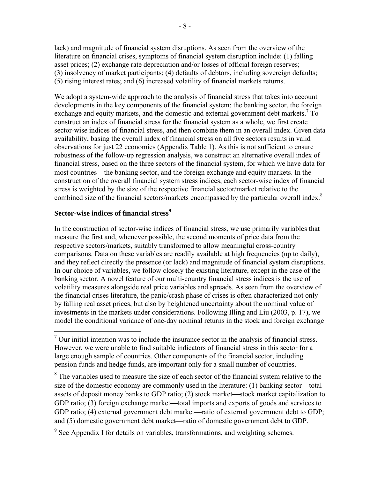lack) and magnitude of financial system disruptions. As seen from the overview of the literature on financial crises, symptoms of financial system disruption include: (1) falling asset prices; (2) exchange rate depreciation and/or losses of official foreign reserves; (3) insolvency of market participants; (4) defaults of debtors, including sovereign defaults; (5) rising interest rates; and (6) increased volatility of financial markets returns.

We adopt a system-wide approach to the analysis of financial stress that takes into account developments in the key components of the financial system: the banking sector, the foreign exchange and equity markets, and the domestic and external government debt markets.<sup>7</sup> To construct an index of financial stress for the financial system as a whole, we first create sector-wise indices of financial stress, and then combine them in an overall index. Given data availability, basing the overall index of financial stress on all five sectors results in valid observations for just 22 economies (Appendix Table 1). As this is not sufficient to ensure robustness of the follow-up regression analysis, we construct an alternative overall index of financial stress, based on the three sectors of the financial system, for which we have data for most countries—the banking sector, and the foreign exchange and equity markets. In the construction of the overall financial system stress indices, each sector-wise index of financial stress is weighted by the size of the respective financial sector/market relative to the combined size of the financial sectors/markets encompassed by the particular overall index.<sup>8</sup>

# **Sector-wise indices of financial stress<sup>9</sup>**

In the construction of sector-wise indices of financial stress, we use primarily variables that measure the first and, whenever possible, the second moments of price data from the respective sectors/markets, suitably transformed to allow meaningful cross-country comparisons. Data on these variables are readily available at high frequencies (up to daily), and they reflect directly the presence (or lack) and magnitude of financial system disruptions. In our choice of variables, we follow closely the existing literature, except in the case of the banking sector. A novel feature of our multi-country financial stress indices is the use of volatility measures alongside real price variables and spreads. As seen from the overview of the financial crises literature, the panic/crash phase of crises is often characterized not only by falling real asset prices, but also by heightened uncertainty about the nominal value of investments in the markets under considerations. Following Illing and Liu (2003, p. 17), we model the conditional variance of one-day nominal returns in the stock and foreign exchange

<sup>&</sup>lt;sup>7</sup> Our initial intention was to include the insurance sector in the analysis of financial stress. However, we were unable to find suitable indicators of financial stress in this sector for a large enough sample of countries. Other components of the financial sector, including pension funds and hedge funds, are important only for a small number of countries.

 $8$  The variables used to measure the size of each sector of the financial system relative to the size of the domestic economy are commonly used in the literature: (1) banking sector—total assets of deposit money banks to GDP ratio; (2) stock market—stock market capitalization to GDP ratio; (3) foreign exchange market—total imports and exports of goods and services to GDP ratio; (4) external government debt market—ratio of external government debt to GDP; and (5) domestic government debt market—ratio of domestic government debt to GDP.

<sup>&</sup>lt;sup>9</sup> See Appendix I for details on variables, transformations, and weighting schemes.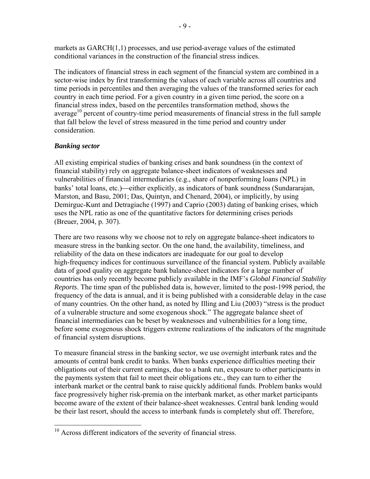markets as GARCH(1,1) processes, and use period-average values of the estimated conditional variances in the construction of the financial stress indices.

The indicators of financial stress in each segment of the financial system are combined in a sector-wise index by first transforming the values of each variable across all countries and time periods in percentiles and then averaging the values of the transformed series for each country in each time period. For a given country in a given time period, the score on a financial stress index, based on the percentiles transformation method, shows the average $10$  percent of country-time period measurements of financial stress in the full sample that fall below the level of stress measured in the time period and country under consideration.

# *Banking sector*

 $\overline{a}$ 

All existing empirical studies of banking crises and bank soundness (in the context of financial stability) rely on aggregate balance-sheet indicators of weaknesses and vulnerabilities of financial intermediaries (e.g., share of nonperforming loans (NPL) in banks' total loans, etc.) — either explicitly, as indicators of bank soundness (Sundararajan, Marston, and Basu, 2001; Das, Quintyn, and Chenard, 2004), or implicitly, by using Demirguc-Kunt and Detragiache (1997) and Caprio (2003) dating of banking crises, which uses the NPL ratio as one of the quantitative factors for determining crises periods (Breuer, 2004, p. 307).

There are two reasons why we choose not to rely on aggregate balance-sheet indicators to measure stress in the banking sector. On the one hand, the availability, timeliness, and reliability of the data on these indicators are inadequate for our goal to develop high-frequency indices for continuous surveillance of the financial system. Publicly available data of good quality on aggregate bank balance-sheet indicators for a large number of countries has only recently become publicly available in the IMF's *Global Financial Stability Reports*. The time span of the published data is, however, limited to the post-1998 period, the frequency of the data is annual, and it is being published with a considerable delay in the case of many countries. On the other hand, as noted by Illing and Liu (2003) "stress is the product of a vulnerable structure and some exogenous shock." The aggregate balance sheet of financial intermediaries can be beset by weaknesses and vulnerabilities for a long time, before some exogenous shock triggers extreme realizations of the indicators of the magnitude of financial system disruptions.

To measure financial stress in the banking sector, we use overnight interbank rates and the amounts of central bank credit to banks. When banks experience difficulties meeting their obligations out of their current earnings, due to a bank run, exposure to other participants in the payments system that fail to meet their obligations etc., they can turn to either the interbank market or the central bank to raise quickly additional funds. Problem banks would face progressively higher risk-premia on the interbank market, as other market participants become aware of the extent of their balance-sheet weaknesses. Central bank lending would be their last resort, should the access to interbank funds is completely shut off. Therefore,

 $10$  Across different indicators of the severity of financial stress.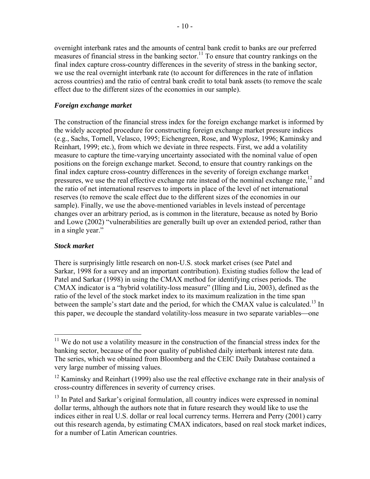overnight interbank rates and the amounts of central bank credit to banks are our preferred measures of financial stress in the banking sector.<sup>11</sup> To ensure that country rankings on the final index capture cross-country differences in the severity of stress in the banking sector, we use the real overnight interbank rate (to account for differences in the rate of inflation across countries) and the ratio of central bank credit to total bank assets (to remove the scale effect due to the different sizes of the economies in our sample).

# *Foreign exchange market*

The construction of the financial stress index for the foreign exchange market is informed by the widely accepted procedure for constructing foreign exchange market pressure indices (e.g., Sachs, Tornell, Velasco, 1995; Eichengreen, Rose, and Wyplosz, 1996; Kaminsky and Reinhart, 1999; etc.), from which we deviate in three respects. First, we add a volatility measure to capture the time-varying uncertainty associated with the nominal value of open positions on the foreign exchange market. Second, to ensure that country rankings on the final index capture cross-country differences in the severity of foreign exchange market pressures, we use the real effective exchange rate instead of the nominal exchange rate,<sup>12</sup> and the ratio of net international reserves to imports in place of the level of net international reserves (to remove the scale effect due to the different sizes of the economies in our sample). Finally, we use the above-mentioned variables in levels instead of percentage changes over an arbitrary period, as is common in the literature, because as noted by Borio and Lowe (2002) "vulnerabilities are generally built up over an extended period, rather than in a single year."

# *Stock market*

1

There is surprisingly little research on non-U.S. stock market crises (see Patel and Sarkar, 1998 for a survey and an important contribution). Existing studies follow the lead of Patel and Sarkar (1998) in using the CMAX method for identifying crises periods. The CMAX indicator is a "hybrid volatility-loss measure" (Illing and Liu, 2003), defined as the ratio of the level of the stock market index to its maximum realization in the time span between the sample's start date and the period, for which the CMAX value is calculated.<sup>13</sup> In this paper, we decouple the standard volatility-loss measure in two separate variables—one

 $11$  We do not use a volatility measure in the construction of the financial stress index for the banking sector, because of the poor quality of published daily interbank interest rate data. The series, which we obtained from Bloomberg and the CEIC Daily Database contained a very large number of missing values.

 $12$  Kaminsky and Reinhart (1999) also use the real effective exchange rate in their analysis of cross-country differences in severity of currency crises.

 $<sup>13</sup>$  In Patel and Sarkar's original formulation, all country indices were expressed in nominal</sup> dollar terms, although the authors note that in future research they would like to use the indices either in real U.S. dollar or real local currency terms. Herrera and Perry (2001) carry out this research agenda, by estimating CMAX indicators, based on real stock market indices, for a number of Latin American countries.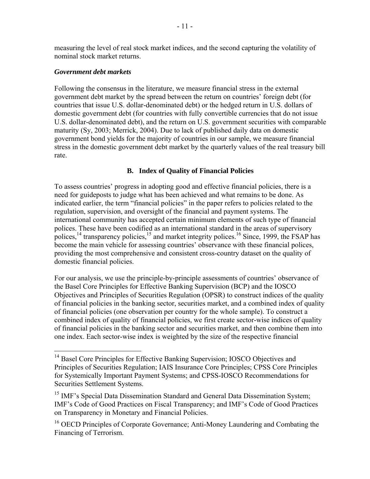measuring the level of real stock market indices, and the second capturing the volatility of nominal stock market returns.

# *Government debt markets*

 $\overline{a}$ 

Following the consensus in the literature, we measure financial stress in the external government debt market by the spread between the return on countries' foreign debt (for countries that issue U.S. dollar-denominated debt) or the hedged return in U.S. dollars of domestic government debt (for countries with fully convertible currencies that do not issue U.S. dollar-denominated debt), and the return on U.S. government securities with comparable maturity (Sy, 2003; Merrick, 2004). Due to lack of published daily data on domestic government bond yields for the majority of countries in our sample, we measure financial stress in the domestic government debt market by the quarterly values of the real treasury bill rate.

# **B. Index of Quality of Financial Policies**

To assess countries' progress in adopting good and effective financial policies, there is a need for guideposts to judge what has been achieved and what remains to be done. As indicated earlier, the term "financial policies" in the paper refers to policies related to the regulation, supervision, and oversight of the financial and payment systems. The international community has accepted certain minimum elements of such type of financial polices. These have been codified as an international standard in the areas of supervisory polices,<sup>14</sup> transparency policies,<sup>15</sup> and market integrity polices.<sup>16</sup> Since, 1999, the FSAP has become the main vehicle for assessing countries' observance with these financial polices, providing the most comprehensive and consistent cross-country dataset on the quality of domestic financial policies.

For our analysis, we use the principle-by-principle assessments of countries' observance of the Basel Core Principles for Effective Banking Supervision (BCP) and the IOSCO Objectives and Principles of Securities Regulation (OPSR) to construct indices of the quality of financial policies in the banking sector, securities market, and a combined index of quality of financial policies (one observation per country for the whole sample). To construct a combined index of quality of financial policies, we first create sector-wise indices of quality of financial policies in the banking sector and securities market, and then combine them into one index. Each sector-wise index is weighted by the size of the respective financial

<sup>&</sup>lt;sup>14</sup> Basel Core Principles for Effective Banking Supervision; IOSCO Objectives and Principles of Securities Regulation; IAIS Insurance Core Principles; CPSS Core Principles for Systemically Important Payment Systems; and CPSS-IOSCO Recommendations for Securities Settlement Systems.

<sup>&</sup>lt;sup>15</sup> IMF's Special Data Dissemination Standard and General Data Dissemination System; IMF's Code of Good Practices on Fiscal Transparency; and IMF's Code of Good Practices on Transparency in Monetary and Financial Policies.

<sup>&</sup>lt;sup>16</sup> OECD Principles of Corporate Governance; Anti-Money Laundering and Combating the Financing of Terrorism.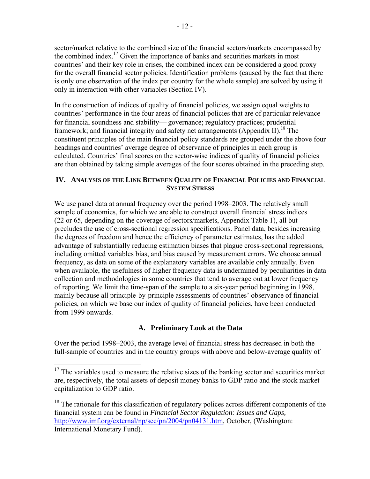sector/market relative to the combined size of the financial sectors/markets encompassed by the combined index.<sup>17</sup> Given the importance of banks and securities markets in most countries' and their key role in crises, the combined index can be considered a good proxy for the overall financial sector policies. Identification problems (caused by the fact that there is only one observation of the index per country for the whole sample) are solved by using it only in interaction with other variables (Section IV).

In the construction of indices of quality of financial policies, we assign equal weights to countries' performance in the four areas of financial policies that are of particular relevance for financial soundness and stability—governance; regulatory practices; prudential framework; and financial integrity and safety net arrangements (Appendix II).<sup>18</sup> The constituent principles of the main financial policy standards are grouped under the above four headings and countries' average degree of observance of principles in each group is calculated. Countries' final scores on the sector-wise indices of quality of financial policies are then obtained by taking simple averages of the four scores obtained in the preceding step.

# **IV. ANALYSIS OF THE LINK BETWEEN QUALITY OF FINANCIAL POLICIES AND FINANCIAL SYSTEM STRESS**

We use panel data at annual frequency over the period 1998–2003. The relatively small sample of economies, for which we are able to construct overall financial stress indices (22 or 65, depending on the coverage of sectors/markets, Appendix Table 1), all but precludes the use of cross-sectional regression specifications. Panel data, besides increasing the degrees of freedom and hence the efficiency of parameter estimates, has the added advantage of substantially reducing estimation biases that plague cross-sectional regressions, including omitted variables bias, and bias caused by measurement errors. We choose annual frequency, as data on some of the explanatory variables are available only annually. Even when available, the usefulness of higher frequency data is undermined by peculiarities in data collection and methodologies in some countries that tend to average out at lower frequency of reporting. We limit the time-span of the sample to a six-year period beginning in 1998, mainly because all principle-by-principle assessments of countries' observance of financial policies, on which we base our index of quality of financial policies, have been conducted from 1999 onwards.

# **A. Preliminary Look at the Data**

Over the period 1998–2003, the average level of financial stress has decreased in both the full-sample of countries and in the country groups with above and below-average quality of

 $\overline{a}$ 

 $17$  The variables used to measure the relative sizes of the banking sector and securities market are, respectively, the total assets of deposit money banks to GDP ratio and the stock market capitalization to GDP ratio.

<sup>&</sup>lt;sup>18</sup> The rationale for this classification of regulatory polices across different components of the financial system can be found in *Financial Sector Regulation: Issues and Gaps,*  [http://www.imf.org/external/np/sec/pn/2004/pn04131.htm,](http://0-www-imf-org.library.svsu.edu/external/np/sec/pn/2004/pn04131.htm) October, (Washington: International Monetary Fund).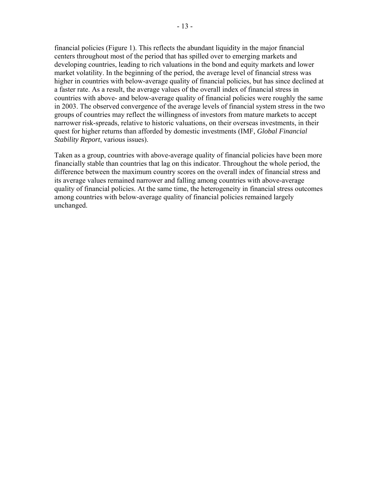financial policies (Figure 1). This reflects the abundant liquidity in the major financial centers throughout most of the period that has spilled over to emerging markets and developing countries, leading to rich valuations in the bond and equity markets and lower market volatility. In the beginning of the period, the average level of financial stress was higher in countries with below-average quality of financial policies, but has since declined at a faster rate. As a result, the average values of the overall index of financial stress in countries with above- and below-average quality of financial policies were roughly the same in 2003. The observed convergence of the average levels of financial system stress in the two groups of countries may reflect the willingness of investors from mature markets to accept narrower risk-spreads, relative to historic valuations, on their overseas investments, in their quest for higher returns than afforded by domestic investments (IMF, *Global Financial Stability Report*, various issues).

Taken as a group, countries with above-average quality of financial policies have been more financially stable than countries that lag on this indicator. Throughout the whole period, the difference between the maximum country scores on the overall index of financial stress and its average values remained narrower and falling among countries with above-average quality of financial policies. At the same time, the heterogeneity in financial stress outcomes among countries with below-average quality of financial policies remained largely unchanged.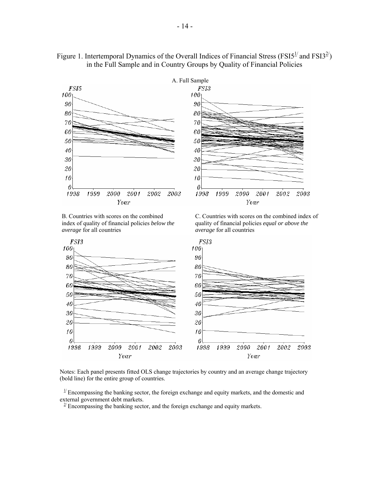

# Figure 1. Intertemporal Dynamics of the Overall Indices of Financial Stress (FSI5<sup>1/</sup> and FSI3<sup>2/</sup>) in the Full Sample and in Country Groups by Quality of Financial Policies

 $20<sup>1</sup>$ 

 $10<sup>1</sup>$ 0

1998

1999

B. Countries with scores on the combined index of quality of financial policies *below the average* for all countries

2000 2001

Year

2002

2003

20

 $10<sup>1</sup>$ 

 $\theta$ 

1998

1999

 C. Countries with scores on the combined index of quality of financial policies *equal or above the average* for all countries

Year

2001

2002

2003

2000



Notes: Each panel presents fitted OLS change trajectories by country and an average change trajectory (bold line) for the entire group of countries.

 $1/$  Encompassing the banking sector, the foreign exchange and equity markets, and the domestic and external government debt markets.

 $\frac{2}{2}$  Encompassing the banking sector, and the foreign exchange and equity markets.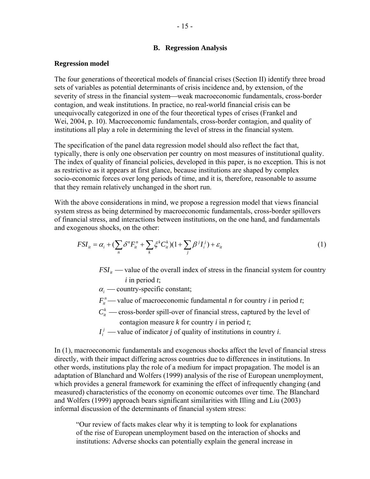#### **B. Regression Analysis**

#### **Regression model**

The four generations of theoretical models of financial crises (Section II) identify three broad sets of variables as potential determinants of crisis incidence and, by extension, of the severity of stress in the financial system—weak macroeconomic fundamentals, cross-border contagion, and weak institutions. In practice, no real-world financial crisis can be unequivocally categorized in one of the four theoretical types of crises (Frankel and Wei, 2004, p. 10). Macroeconomic fundamentals, cross-border contagion, and quality of institutions all play a role in determining the level of stress in the financial system.

The specification of the panel data regression model should also reflect the fact that, typically, there is only one observation per country on most measures of institutional quality. The index of quality of financial policies, developed in this paper, is no exception. This is not as restrictive as it appears at first glance, because institutions are shaped by complex socio-economic forces over long periods of time, and it is, therefore, reasonable to assume that they remain relatively unchanged in the short run.

With the above considerations in mind, we propose a regression model that views financial system stress as being determined by macroeconomic fundamentals, cross-border spillovers of financial stress, and interactions between institutions, on the one hand, and fundamentals and exogenous shocks, on the other:

$$
FSI_{it} = \alpha_i + \left(\sum_n \delta^n F_{it}^n + \sum_k \xi^k C_{it}^k\right)\left(1 + \sum_j \beta^j I_i^j\right) + \varepsilon_{it}
$$
\n<sup>(1)</sup>

- $FSI<sub>it</sub>$   $\rightarrow$  value of the overall index of stress in the financial system for country *i* in period *t*;
- $\alpha_i$  country-specific constant;
- *<sup>n</sup> Fit* ⎯ value of macroeconomic fundamental *n* for country *i* in period *t*;
- $C_{i}^{k}$  cross-border spill-over of financial stress, captured by the level of
	- contagion measure *k* for country *i* in period *t*;
- $I_i^j$  value of indicator *j* of quality of institutions in country *i*.

In (1), macroeconomic fundamentals and exogenous shocks affect the level of financial stress directly, with their impact differing across countries due to differences in institutions. In other words, institutions play the role of a medium for impact propagation. The model is an adaptation of Blanchard and Wolfers (1999) analysis of the rise of European unemployment, which provides a general framework for examining the effect of infrequently changing (and measured) characteristics of the economy on economic outcomes over time. The Blanchard and Wolfers (1999) approach bears significant similarities with Illing and Liu (2003) informal discussion of the determinants of financial system stress:

"Our review of facts makes clear why it is tempting to look for explanations of the rise of European unemployment based on the interaction of shocks and institutions: Adverse shocks can potentially explain the general increase in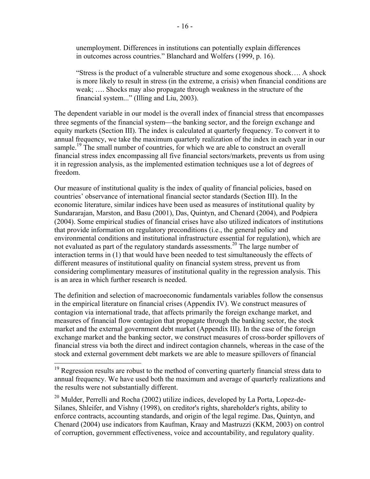unemployment. Differences in institutions can potentially explain differences in outcomes across countries." Blanchard and Wolfers (1999, p. 16).

"Stress is the product of a vulnerable structure and some exogenous shock…. A shock is more likely to result in stress (in the extreme, a crisis) when financial conditions are weak; …. Shocks may also propagate through weakness in the structure of the financial system..." (Illing and Liu, 2003).

The dependent variable in our model is the overall index of financial stress that encompasses three segments of the financial system—the banking sector, and the foreign exchange and equity markets (Section III). The index is calculated at quarterly frequency. To convert it to annual frequency, we take the maximum quarterly realization of the index in each year in our sample.<sup>19</sup> The small number of countries, for which we are able to construct an overall financial stress index encompassing all five financial sectors/markets, prevents us from using it in regression analysis, as the implemented estimation techniques use a lot of degrees of freedom.

Our measure of institutional quality is the index of quality of financial policies, based on countries' observance of international financial sector standards (Section III). In the economic literature, similar indices have been used as measures of institutional quality by Sundararajan, Marston, and Basu (2001), Das, Quintyn, and Chenard (2004), and Podpiera (2004). Some empirical studies of financial crises have also utilized indicators of institutions that provide information on regulatory preconditions (i.e., the general policy and environmental conditions and institutional infrastructure essential for regulation), which are not evaluated as part of the regulatory standards assessments.<sup>20</sup> The large number of interaction terms in (1) that would have been needed to test simultaneously the effects of different measures of institutional quality on financial system stress, prevent us from considering complimentary measures of institutional quality in the regression analysis. This is an area in which further research is needed.

The definition and selection of macroeconomic fundamentals variables follow the consensus in the empirical literature on financial crises (Appendix IV). We construct measures of contagion via international trade, that affects primarily the foreign exchange market, and measures of financial flow contagion that propagate through the banking sector, the stock market and the external government debt market (Appendix III). In the case of the foreign exchange market and the banking sector, we construct measures of cross-border spillovers of financial stress via both the direct and indirect contagion channels, whereas in the case of the stock and external government debt markets we are able to measure spillovers of financial

 $\overline{a}$ 

 $19$  Regression results are robust to the method of converting quarterly financial stress data to annual frequency. We have used both the maximum and average of quarterly realizations and the results were not substantially different.

<sup>&</sup>lt;sup>20</sup> Mulder, Perrelli and Rocha (2002) utilize indices, developed by La Porta, Lopez-de-Silanes, Shleifer, and Vishny (1998), on creditor's rights, shareholder's rights, ability to enforce contracts, accounting standards, and origin of the legal regime. Das, Quintyn, and Chenard (2004) use indicators from Kaufman, Kraay and Mastruzzi (KKM, 2003) on control of corruption, government effectiveness, voice and accountability, and regulatory quality.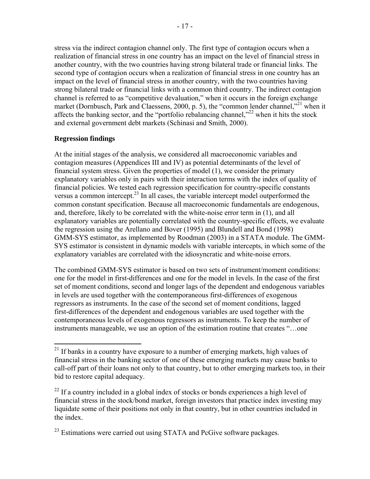stress via the indirect contagion channel only. The first type of contagion occurs when a realization of financial stress in one country has an impact on the level of financial stress in another country, with the two countries having strong bilateral trade or financial links. The second type of contagion occurs when a realization of financial stress in one country has an impact on the level of financial stress in another country, with the two countries having strong bilateral trade or financial links with a common third country. The indirect contagion channel is referred to as "competitive devaluation," when it occurs in the foreign exchange market (Dornbusch, Park and Claessens, 2000, p. 5), the "common lender channel,"<sup>21</sup> when it affects the banking sector, and the "portfolio rebalancing channel,"<sup>22</sup> when it hits the stock and external government debt markets (Schinasi and Smith, 2000).

# **Regression findings**

 $\overline{a}$ 

At the initial stages of the analysis, we considered all macroeconomic variables and contagion measures (Appendices III and IV) as potential determinants of the level of financial system stress. Given the properties of model (1), we consider the primary explanatory variables only in pairs with their interaction terms with the index of quality of financial policies. We tested each regression specification for country-specific constants versus a common intercept.<sup>23</sup> In all cases, the variable intercept model outperformed the common constant specification. Because all macroeconomic fundamentals are endogenous, and, therefore, likely to be correlated with the white-noise error term in (1), and all explanatory variables are potentially correlated with the country-specific effects, we evaluate the regression using the Arellano and Bover (1995) and Blundell and Bond (1998) GMM-SYS estimator, as implemented by Roodman (2003) in a STATA module. The GMM-SYS estimator is consistent in dynamic models with variable intercepts, in which some of the explanatory variables are correlated with the idiosyncratic and white-noise errors.

The combined GMM-SYS estimator is based on two sets of instrument/moment conditions: one for the model in first-differences and one for the model in levels. In the case of the first set of moment conditions, second and longer lags of the dependent and endogenous variables in levels are used together with the contemporaneous first-differences of exogenous regressors as instruments. In the case of the second set of moment conditions, lagged first-differences of the dependent and endogenous variables are used together with the contemporaneous levels of exogenous regressors as instruments. To keep the number of instruments manageable, we use an option of the estimation routine that creates "…one

 $2<sup>1</sup>$  If banks in a country have exposure to a number of emerging markets, high values of financial stress in the banking sector of one of these emerging markets may cause banks to call-off part of their loans not only to that country, but to other emerging markets too, in their bid to restore capital adequacy.

 $^{22}$  If a country included in a global index of stocks or bonds experiences a high level of financial stress in the stock/bond market, foreign investors that practice index investing may liquidate some of their positions not only in that country, but in other countries included in the index.

<sup>&</sup>lt;sup>23</sup> Estimations were carried out using STATA and PcGive software packages.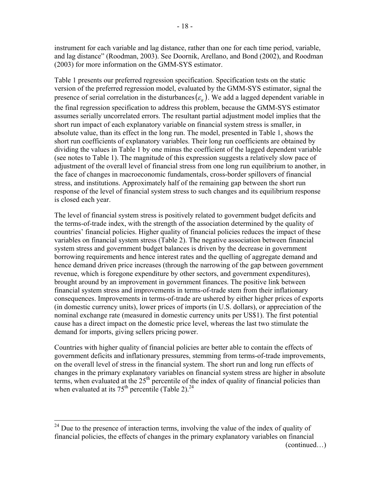instrument for each variable and lag distance, rather than one for each time period, variable, and lag distance" (Roodman, 2003). See Doornik, Arellano, and Bond (2002), and Roodman (2003) for more information on the GMM-SYS estimator.

Table 1 presents our preferred regression specification. Specification tests on the static version of the preferred regression model, evaluated by the GMM-SYS estimator, signal the presence of serial correlation in the disturbances  $(\varepsilon_{i}$ ). We add a lagged dependent variable in the final regression specification to address this problem, because the GMM-SYS estimator assumes serially uncorrelated errors. The resultant partial adjustment model implies that the short run impact of each explanatory variable on financial system stress is smaller, in absolute value, than its effect in the long run. The model, presented in Table 1, shows the short run coefficients of explanatory variables. Their long run coefficients are obtained by dividing the values in Table 1 by one minus the coefficient of the lagged dependent variable (see notes to Table 1). The magnitude of this expression suggests a relatively slow pace of adjustment of the overall level of financial stress from one long run equilibrium to another, in the face of changes in macroeconomic fundamentals, cross-border spillovers of financial stress, and institutions. Approximately half of the remaining gap between the short run response of the level of financial system stress to such changes and its equilibrium response is closed each year.

The level of financial system stress is positively related to government budget deficits and the terms-of-trade index, with the strength of the association determined by the quality of countries' financial policies. Higher quality of financial policies reduces the impact of these variables on financial system stress (Table 2). The negative association between financial system stress and government budget balances is driven by the decrease in government borrowing requirements and hence interest rates and the quelling of aggregate demand and hence demand driven price increases (through the narrowing of the gap between government revenue, which is foregone expenditure by other sectors, and government expenditures), brought around by an improvement in government finances. The positive link between financial system stress and improvements in terms-of-trade stem from their inflationary consequences. Improvements in terms-of-trade are ushered by either higher prices of exports (in domestic currency units), lower prices of imports (in U.S. dollars), or appreciation of the nominal exchange rate (measured in domestic currency units per US\$1). The first potential cause has a direct impact on the domestic price level, whereas the last two stimulate the demand for imports, giving sellers pricing power.

Countries with higher quality of financial policies are better able to contain the effects of government deficits and inflationary pressures, stemming from terms-of-trade improvements, on the overall level of stress in the financial system. The short run and long run effects of changes in the primary explanatory variables on financial system stress are higher in absolute terms, when evaluated at the  $25<sup>th</sup>$  percentile of the index of quality of financial policies than when evaluated at its  $75<sup>th</sup>$  percentile (Table 2).<sup>24</sup>

1

 $24$  Due to the presence of interaction terms, involving the value of the index of quality of financial policies, the effects of changes in the primary explanatory variables on financial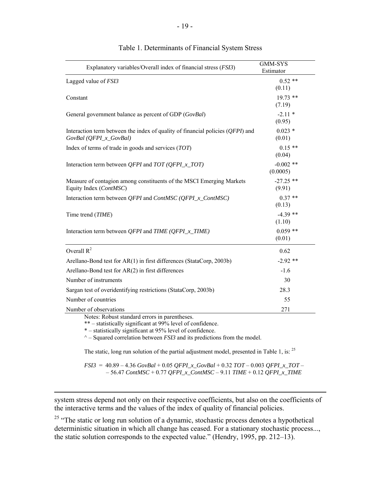| Explanatory variables/Overall index of financial stress (FSI3)                                             | <b>GMM-SYS</b><br>Estimator |
|------------------------------------------------------------------------------------------------------------|-----------------------------|
| Lagged value of FSI3                                                                                       | $0.52**$<br>(0.11)          |
| Constant                                                                                                   | $19.73$ **<br>(7.19)        |
| General government balance as percent of GDP (GovBal)                                                      | $-2.11*$<br>(0.95)          |
| Interaction term between the index of quality of financial policies $(QFPI)$ and<br>GovBal (QFPI_x_GovBal) | $0.023*$<br>(0.01)          |
| Index of terms of trade in goods and services (TOT)                                                        | $0.15**$<br>(0.04)          |
| Interaction term between <i>QFPI</i> and $TOT$ ( <i>QFPI_x_TOT</i> )                                       | $-0.002$ **<br>(0.0005)     |
| Measure of contagion among constituents of the MSCI Emerging Markets<br>Equity Index (ContMSC)             | $-27.25$ **<br>(9.91)       |
| Interaction term between QFPI and ContMSC (QFPI_x_ContMSC)                                                 | $0.37**$<br>(0.13)          |
| Time trend (TIME)                                                                                          | $-4.39$ **<br>(1.10)        |
| Interaction term between <i>QFPI</i> and <i>TIME</i> ( <i>QFPI_x_TIME</i> )                                | $0.059$ **<br>(0.01)        |
| Overall $R^2$                                                                                              | 0.62                        |
| Arellano-Bond test for AR(1) in first differences (StataCorp, 2003b)                                       | $-2.92$ **                  |
| Arellano-Bond test for AR(2) in first differences                                                          | $-1.6$                      |
| Number of instruments                                                                                      | 30                          |
| Sargan test of overidentifying restrictions (StataCorp, 2003b)                                             | 28.3                        |
| Number of countries                                                                                        | 55                          |
| Number of observations                                                                                     | 271                         |
| Notes: Robust standard errors in parentheses.                                                              |                             |

#### Table 1. Determinants of Financial System Stress

\*\* – statistically significant at 99% level of confidence.

\* – statistically significant at 95% level of confidence.

 $\overline{a}$ 

 $^{\wedge}$  – Squared correlation between *FSI3* and its predictions from the model.

The static, long run solution of the partial adjustment model, presented in Table 1, is: <sup>25</sup>

*FSI3* = 40.89 – 4.36 *GovBal* + 0.05 *QFPI\_x\_GovBal* + 0.32 *TOT* – 0.003 *QFPI\_x\_TOT* – – 56.47 *ContMSC* + 0.77 *QFPI\_x\_ContMSC* – 9.11 *TIME* + 0.12 *QFPI\_x\_TIME*

system stress depend not only on their respective coefficients, but also on the coefficients of the interactive terms and the values of the index of quality of financial policies.

<sup>25</sup> "The static or long run solution of a dynamic, stochastic process denotes a hypothetical deterministic situation in which all change has ceased. For a stationary stochastic process..., the static solution corresponds to the expected value." (Hendry, 1995, pp. 212–13).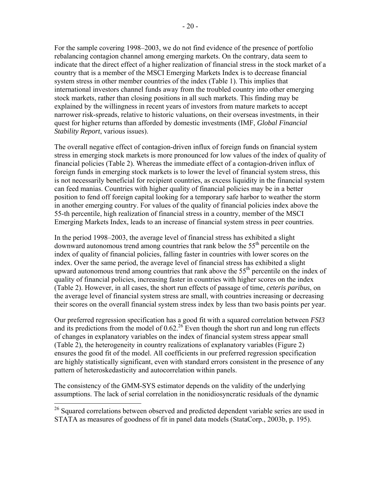For the sample covering 1998–2003, we do not find evidence of the presence of portfolio rebalancing contagion channel among emerging markets. On the contrary, data seem to indicate that the direct effect of a higher realization of financial stress in the stock market of a country that is a member of the MSCI Emerging Markets Index is to decrease financial system stress in other member countries of the index (Table 1). This implies that international investors channel funds away from the troubled country into other emerging stock markets, rather than closing positions in all such markets. This finding may be explained by the willingness in recent years of investors from mature markets to accept narrower risk-spreads, relative to historic valuations, on their overseas investments, in their quest for higher returns than afforded by domestic investments (IMF, *Global Financial Stability Report*, various issues).

The overall negative effect of contagion-driven influx of foreign funds on financial system stress in emerging stock markets is more pronounced for low values of the index of quality of financial policies (Table 2). Whereas the immediate effect of a contagion-driven influx of foreign funds in emerging stock markets is to lower the level of financial system stress, this is not necessarily beneficial for recipient countries, as excess liquidity in the financial system can feed manias. Countries with higher quality of financial policies may be in a better position to fend off foreign capital looking for a temporary safe harbor to weather the storm in another emerging country. For values of the quality of financial policies index above the 55-th percentile, high realization of financial stress in a country, member of the MSCI Emerging Markets Index, leads to an increase of financial system stress in peer countries.

In the period 1998–2003, the average level of financial stress has exhibited a slight downward autonomous trend among countries that rank below the 55<sup>th</sup> percentile on the index of quality of financial policies, falling faster in countries with lower scores on the index. Over the same period, the average level of financial stress has exhibited a slight upward autonomous trend among countries that rank above the  $55<sup>th</sup>$  percentile on the index of quality of financial policies, increasing faster in countries with higher scores on the index (Table 2). However, in all cases, the short run effects of passage of time, *ceteris paribus*, on the average level of financial system stress are small, with countries increasing or decreasing their scores on the overall financial system stress index by less than two basis points per year.

Our preferred regression specification has a good fit with a squared correlation between *FSI3* and its predictions from the model of  $0.62<sup>26</sup>$  Even though the short run and long run effects of changes in explanatory variables on the index of financial system stress appear small (Table 2), the heterogeneity in country realizations of explanatory variables (Figure 2) ensures the good fit of the model. All coefficients in our preferred regression specification are highly statistically significant, even with standard errors consistent in the presence of any pattern of heteroskedasticity and autocorrelation within panels.

The consistency of the GMM-SYS estimator depends on the validity of the underlying assumptions. The lack of serial correlation in the nonidiosyncratic residuals of the dynamic

 $\overline{a}$ 

<sup>&</sup>lt;sup>26</sup> Squared correlations between observed and predicted dependent variable series are used in STATA as measures of goodness of fit in panel data models (StataCorp., 2003b, p. 195).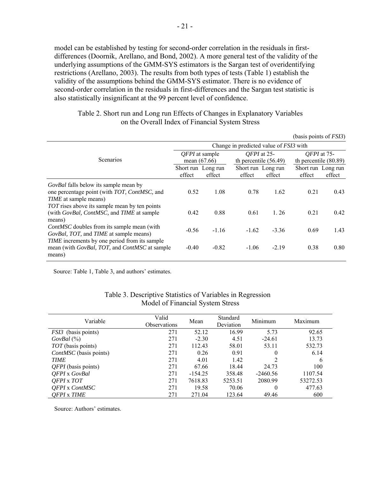model can be established by testing for second-order correlation in the residuals in firstdifferences (Doornik, Arellano, and Bond, 2002). A more general test of the validity of the underlying assumptions of the GMM-SYS estimators is the Sargan test of overidentifying restrictions (Arellano, 2003). The results from both types of tests (Table 1) establish the validity of the assumptions behind the GMM-SYS estimator. There is no evidence of second-order correlation in the residuals in first-differences and the Sargan test statistic is also statistically insignificant at the 99 percent level of confidence.

|                                                              |                                               |         |                              |                         | (basis points of $FSI3$ )    |                         |  |
|--------------------------------------------------------------|-----------------------------------------------|---------|------------------------------|-------------------------|------------------------------|-------------------------|--|
|                                                              | Change in predicted value of <i>FSI3</i> with |         |                              |                         |                              |                         |  |
|                                                              | <i>QFPI</i> at sample                         |         | OFPI at 25-                  |                         | OFPI at 75-                  |                         |  |
| <b>Scenarios</b>                                             | mean $(67.66)$                                |         |                              | th percentile $(56.49)$ |                              | th percentile $(80.89)$ |  |
|                                                              | Short run Long run<br>effect                  | effect  | Short run Long run<br>effect | effect                  | Short run Long run<br>effect | effect                  |  |
| <i>GovBal</i> falls below its sample mean by                 |                                               |         |                              |                         |                              |                         |  |
| one percentage point (with TOT, ContMSC, and                 | 0.52                                          | 1.08    | 0.78                         | 1.62                    | 0.21                         | 0.43                    |  |
| <i>TIME</i> at sample means)                                 |                                               |         |                              |                         |                              |                         |  |
| TOT rises above its sample mean by ten points                |                                               |         |                              |                         |                              |                         |  |
| (with <i>GovBal, ContMSC</i> , and <i>TIME</i> at sample     | 0.42                                          | 0.88    | 0.61                         | 1.26                    | 0.21                         | 0.42                    |  |
| means)                                                       |                                               |         |                              |                         |                              |                         |  |
| <i>ContMSC</i> doubles from its sample mean (with            | $-0.56$                                       | $-1.16$ | $-1.62$                      | $-3.36$                 | 0.69                         | 1.43                    |  |
| GovBal, TOT, and TIME at sample means)                       |                                               |         |                              |                         |                              |                         |  |
| TIME increments by one period from its sample                |                                               |         |                              |                         |                              |                         |  |
| mean (with <i>GovBal, TOT</i> , and <i>ContMSC</i> at sample | $-0.40$                                       | $-0.82$ | $-1.06$                      | $-2.19$                 | 0.38                         | 0.80                    |  |
| means)                                                       |                                               |         |                              |                         |                              |                         |  |

| Table 2. Short run and Long run Effects of Changes in Explanatory Variables |  |
|-----------------------------------------------------------------------------|--|
| on the Overall Index of Financial System Stress                             |  |

Source: Table 1, Table 3, and authors' estimates.

| Variable                   | Valid<br><b>Observations</b> | Mean      | Standard<br>Deviation | Minimum    | Maximum  |
|----------------------------|------------------------------|-----------|-----------------------|------------|----------|
| <i>FSI3</i> (basis points) | 271                          | 52.12     | 16.99                 | 5.73       | 92.65    |
| $GovBal(\%)$               | 271                          | $-2.30$   | 4.51                  | $-24.61$   | 13.73    |
| TOT (basis points)         | 271                          | 112.43    | 58.01                 | 53.11      | 532.73   |
| ContMSC (basis points)     | 271                          | 0.26      | 0.91                  | 0          | 6.14     |
| <b>TIME</b>                | 271                          | 4.01      | 1.42                  | 2          | 6        |
| $QFPI$ (basis points)      | 271                          | 67.66     | 18.44                 | 24.73      | 100      |
| <b>OFPI</b> x GovBal       | 271                          | $-154.25$ | 358.48                | $-2460.56$ | 1107.54  |
| OFPI x TOT                 | 271                          | 7618.83   | 5253.51               | 2080.99    | 53272.53 |
| <b>OFPI</b> x ContMSC      | 271                          | 19.58     | 70.06                 | 0          | 477.63   |
| <b>OFPI</b> x TIME         | 271                          | 271.04    | 123.64                | 49.46      | 600      |

# Table 3. Descriptive Statistics of Variables in Regression Model of Financial System Stress

Source: Authors' estimates.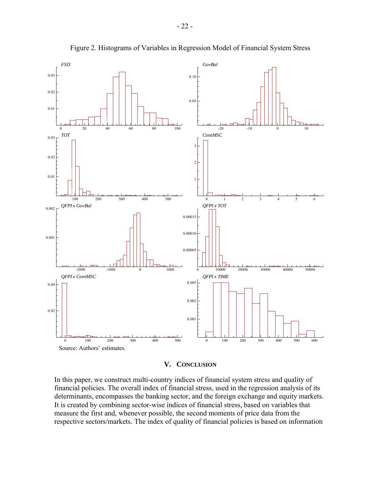

Figure 2. Histograms of Variables in Regression Model of Financial System Stress

#### **V. CONCLUSION**

In this paper, we construct multi-country indices of financial system stress and quality of financial policies. The overall index of financial stress, used in the regression analysis of its determinants, encompasses the banking sector, and the foreign exchange and equity markets. It is created by combining sector-wise indices of financial stress, based on variables that measure the first and, whenever possible, the second moments of price data from the respective sectors/markets. The index of quality of financial policies is based on information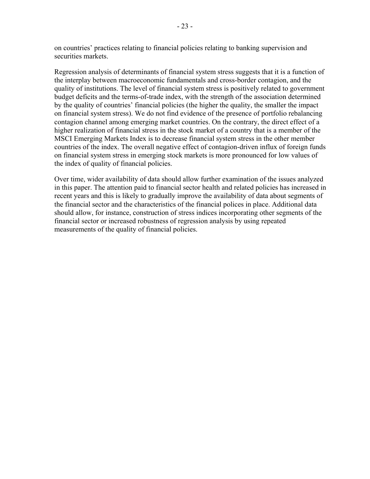on countries' practices relating to financial policies relating to banking supervision and securities markets.

Regression analysis of determinants of financial system stress suggests that it is a function of the interplay between macroeconomic fundamentals and cross-border contagion, and the quality of institutions. The level of financial system stress is positively related to government budget deficits and the terms-of-trade index, with the strength of the association determined by the quality of countries' financial policies (the higher the quality, the smaller the impact on financial system stress). We do not find evidence of the presence of portfolio rebalancing contagion channel among emerging market countries. On the contrary, the direct effect of a higher realization of financial stress in the stock market of a country that is a member of the MSCI Emerging Markets Index is to decrease financial system stress in the other member countries of the index. The overall negative effect of contagion-driven influx of foreign funds on financial system stress in emerging stock markets is more pronounced for low values of the index of quality of financial policies.

Over time, wider availability of data should allow further examination of the issues analyzed in this paper. The attention paid to financial sector health and related policies has increased in recent years and this is likely to gradually improve the availability of data about segments of the financial sector and the characteristics of the financial polices in place. Additional data should allow, for instance, construction of stress indices incorporating other segments of the financial sector or increased robustness of regression analysis by using repeated measurements of the quality of financial policies.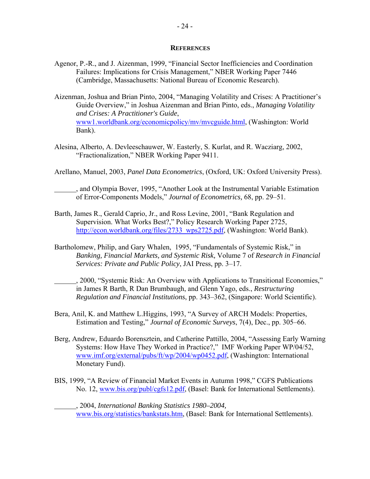#### **REFERENCES**

- Agenor, P.-R., and J. Aizenman, 1999, "Financial Sector Inefficiencies and Coordination Failures: Implications for Crisis Management," NBER Working Paper 7446 (Cambridge, Massachusetts: National Bureau of Economic Research).
- Aizenman, Joshua and Brian Pinto, 2004, "Managing Volatility and Crises: A Practitioner's Guide Overview," in Joshua Aizenman and Brian Pinto, eds., *Managing Volatility and Crises: A Practitioner's Guide*, www1.worldbank.org/economicpolicy/mv/mvcguide.html, (Washington: World Bank).
- Alesina, Alberto, A. Devleeschauwer, W. Easterly, S. Kurlat, and R. Wacziarg, 2002, "Fractionalization," NBER Working Paper 9411.
- Arellano, Manuel, 2003, *Panel Data Econometrics*, (Oxford, UK: Oxford University Press).
- , and Olympia Bover, 1995, "Another Look at the Instrumental Variable Estimation of Error-Components Models," *Journal of Econometrics,* 68, pp. 29–51.
- Barth, James R., Gerald Caprio, Jr., and Ross Levine, 2001, "Bank Regulation and Supervision. What Works Best?," Policy Research Working Paper 2725, [http://econ.worldbank.org/files/2733\\_wps2725.pdf,](http://econ.worldbank.org/files/2733_wps2725.pdf) (Washington: World Bank).
- Bartholomew, Philip, and Gary Whalen, 1995, "Fundamentals of Systemic Risk," in *Banking, Financial Markets, and Systemic Risk,* Volume 7 of *Research in Financial Services: Private and Public Policy*, JAI Press, pp. 3–17.
	- , 2000, "Systemic Risk: An Overview with Applications to Transitional Economies," in James R Barth, R Dan Brumbaugh, and Glenn Yago, eds., *Restructuring Regulation and Financial Institutions*, pp. 343–362, (Singapore: World Scientific).
- Bera, Anil, K. and Matthew L.Higgins, 1993, "A Survey of ARCH Models: Properties, Estimation and Testing," *Journal of Economic Surveys*, 7(4), Dec., pp. 305–66.
- Berg, Andrew, Eduardo Borensztein, and Catherine Pattillo, 2004, "Assessing Early Warning Systems: How Have They Worked in Practice?," IMF Working Paper WP/04/52, www.imf.org/external/pubs/ft/wp/2004/wp0452.pdf, (Washington: International Monetary Fund).
- BIS, 1999, "A Review of Financial Market Events in Autumn 1998," CGFS Publications No. 12, www.bis.org/publ/cgfs12.pdf, (Basel: Bank for International Settlements).

 , 2004, *International Banking Statistics 1980–2004,*  www.bis.org/statistics/bankstats.htm, (Basel: Bank for International Settlements).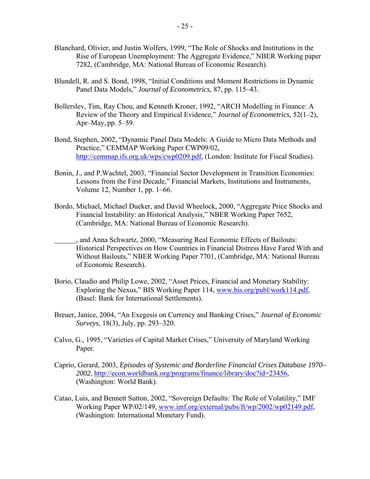- Blanchard, Olivier, and Justin Wolfers, 1999, "The Role of Shocks and Institutions in the Rise of European Unemployment: The Aggregate Evidence," NBER Working paper 7282, (Cambridge, MA: National Bureau of Economic Research).
- Blundell, R. and S. Bond, 1998, "Initial Conditions and Moment Restrictions in Dynamic Panel Data Models," *Journal of Econometrics*, 87, pp. 115–43.
- Bollerslev, Tim, Ray Chou, and Kenneth Kroner, 1992, "ARCH Modelling in Finance: A Review of the Theory and Empirical Evidence," *Journal of Econometrics*, 52(1–2), Apr–May, pp. 5–59.
- Bond, Stephen, 2002, "Dynamic Panel Data Models: A Guide to Micro Data Methods and Practice," CEMMAP Working Paper CWP09/02, [http://cemmap.ifs.org.uk/wps/cwp0209.pdf,](http://cemmap.ifs.org.uk/wps/cwp0209.pdf) (London: Institute for Fiscal Studies).
- Bonin, J., and P.Wachtel, 2003, "Financial Sector Development in Transition Economies: Lessons from the First Decade," Financial Markets, Institutions and Instruments, Volume 12, Number 1, pp. 1–66.
- Bordo, Michael, Michael Dueker, and David Wheelock, 2000, "Aggregate Price Shocks and Financial Instability: an Historical Analysis," NBER Working Paper 7652, (Cambridge, MA: National Bureau of Economic Research).
- , and Anna Schwartz, 2000, "Measuring Real Economic Effects of Bailouts: Historical Perspectives on How Countries in Financial Distress Have Fared With and Without Bailouts," NBER Working Paper 7701, (Cambridge, MA: National Bureau of Economic Research).
- Borio, Claudio and Philip Lowe, 2002, "Asset Prices, Financial and Monetary Stability: Exploring the Nexus," BIS Working Paper 114, www.bis.org/publ/work114.pdf, (Basel: Bank for International Settlements).
- Breuer, Janice, 2004, "An Exegesis on Currency and Banking Crises," *Journal of Economic Surveys*, 18(3), July, pp. 293–320.
- Calvo, G., 1995, "Varieties of Capital Market Crises," University of Maryland Working Paper.
- Caprio, Gerard, 2003, *Episodes of Systemic and Borderline Financial Crises Database 1970– 2002*, [http://econ.worldbank.org/programs/finance/library/doc?id=23456,](http://econ.worldbank.org/programs/finance/library/doc?id=23456) (Washington: World Bank).
- Catao, Luis, and Bennett Sutton, 2002, "Sovereign Defaults: The Role of Volatility," IMF Working Paper WP/02/149, www.imf.org/external/pubs/ft/wp/2002/wp02149.pdf, (Washington: International Monetary Fund).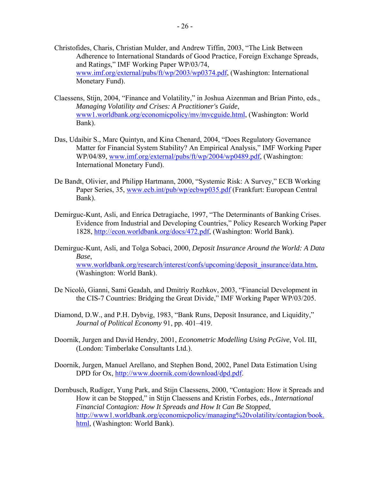- Christofides, Charis, Christian Mulder, and Andrew Tiffin, 2003, "The Link Between Adherence to International Standards of Good Practice, Foreign Exchange Spreads, and Ratings," IMF Working Paper WP/03/74, www.imf.org/external/pubs/ft/wp/2003/wp0374.pdf, (Washington: International Monetary Fund).
- Claessens, Stijn, 2004, "Finance and Volatility," in Joshua Aizenman and Brian Pinto, eds., *Managing Volatility and Crises: A Practitioner's Guide*, www1.worldbank.org/economicpolicy/mv/mvcguide.html, (Washington: World Bank).
- Das, Udaibir S., Marc Quintyn, and Kina Chenard, 2004, "Does Regulatory Governance Matter for Financial System Stability? An Empirical Analysis," IMF Working Paper WP/04/89, www.imf.org/external/pubs/ft/wp/2004/wp0489.pdf, (Washington: International Monetary Fund).
- De Bandt, Olivier, and Philipp Hartmann, 2000, "Systemic Risk: A Survey," ECB Working Paper Series, 35, www.ecb.int/pub/wp/ecbwp035.pdf (Frankfurt: European Central Bank).
- Demirguc-Kunt, Asli, and Enrica Detragiache, 1997, "The Determinants of Banking Crises. Evidence from Industrial and Developing Countries," Policy Research Working Paper 1828, [http://econ.worldbank.org/docs/472.pdf,](http://econ.worldbank.org/docs/472.pdf) (Washington: World Bank).
- Demirguc-Kunt, Asli, and Tolga Sobaci, 2000, *Deposit Insurance Around the World: A Data Base*, www.worldbank.org/research/interest/confs/upcoming/deposit\_insurance/data.htm, (Washington: World Bank).
- De Nicolò, Gianni, Sami Geadah, and Dmitriy Rozhkov, 2003, "Financial Development in the CIS-7 Countries: Bridging the Great Divide," IMF Working Paper WP/03/205.
- Diamond, D.W., and P.H. Dybvig, 1983, "Bank Runs, Deposit Insurance, and Liquidity," *Journal of Political Economy* 91, pp. 401–419.
- Doornik, Jurgen and David Hendry, 2001, *Econometric Modelling Using PcGive*, Vol. III, (London: Timberlake Consultants Ltd.).
- Doornik, Jurgen, Manuel Arellano, and Stephen Bond, 2002, Panel Data Estimation Using DPD for Ox, [http://www.doornik.com/download/dpd.pdf.](http://www.doornik.com/download/dpd.pdf)
- Dornbusch, Rudiger, Yung Park, and Stijn Claessens, 2000, "Contagion: How it Spreads and How it can be Stopped," in Stijn Claessens and Kristin Forbes, eds., *International Financial Contagion: How It Spreads and How It Can Be Stopped*, [http://www1.worldbank.org/economicpolicy/managing%20volatility/contagion/book.](http://www1.worldbank.org/economicpolicy/managing%20volatility/contagion/book) html, (Washington: World Bank).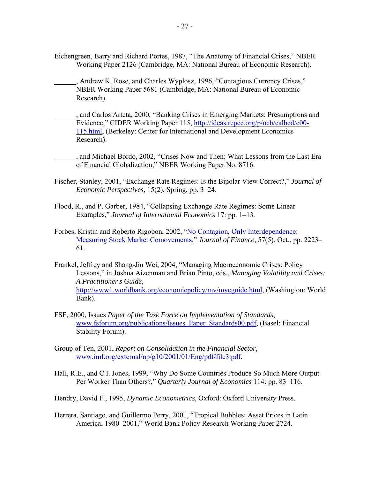- Eichengreen, Barry and Richard Portes, 1987, "The Anatomy of Financial Crises," NBER Working Paper 2126 (Cambridge, MA: National Bureau of Economic Research).
- , Andrew K. Rose, and Charles Wyplosz, 1996, "Contagious Currency Crises," NBER Working Paper 5681 (Cambridge, MA: National Bureau of Economic Research).
- , and Carlos Arteta, 2000, "Banking Crises in Emerging Markets: Presumptions and Evidence," CIDER Working Paper 115, <http://ideas.repec.org/p/ucb/calbcd/c00-> 115.html, (Berkeley: Center for International and Development Economics Research).
- , and Michael Bordo, 2002, "Crises Now and Then: What Lessons from the Last Era of Financial Globalization," NBER Working Paper No. 8716.
- Fischer, Stanley, 2001, "Exchange Rate Regimes: Is the Bipolar View Correct?," *Journal of Economic Perspectives*, 15(2), Spring, pp. 3–24.
- Flood, R., and P. Garber, 1984, "Collapsing Exchange Rate Regimes: Some Linear Examples," *Journal of International Economics* 17: pp. 1–13.
- Forbes, Kristin and Roberto Rigobon, 2002, "No Contagion, Only Interdependence: Measuring Stock Market Comovements," *Journal of Finance*, 57(5), Oct., pp. 2223– 61.
- Frankel, Jeffrey and Shang-Jin Wei, 2004, "Managing Macroeconomic Crises: Policy Lessons," in Joshua Aizenman and Brian Pinto, eds., *Managing Volatility and Crises: A Practitioner's Guide*, [http://www1.worldbank.org/economicpolicy/mv/mvcguide.html,](http://www1.worldbank.org/economicpolicy/mv/mvcguide.html) (Washington: World Bank).
- FSF, 2000, Issues *Paper of the Task Force on Implementation of Standards*, www.fsforum.org/publications/Issues\_Paper\_Standards00.pdf, (Basel: Financial Stability Forum).
- Group of Ten, 2001, *Report on Consolidation in the Financial Sector*, www.imf.org/external/np/g10/2001/01/Eng/pdf/file3.pdf.
- Hall, R.E., and C.I. Jones, 1999, "Why Do Some Countries Produce So Much More Output Per Worker Than Others?," *Quarterly Journal of Economics* 114: pp. 83–116.
- Hendry, David F., 1995, *Dynamic Econometrics*, Oxford: Oxford University Press.
- Herrera, Santiago, and Guillermo Perry, 2001, "Tropical Bubbles: Asset Prices in Latin America, 1980–2001," World Bank Policy Research Working Paper 2724.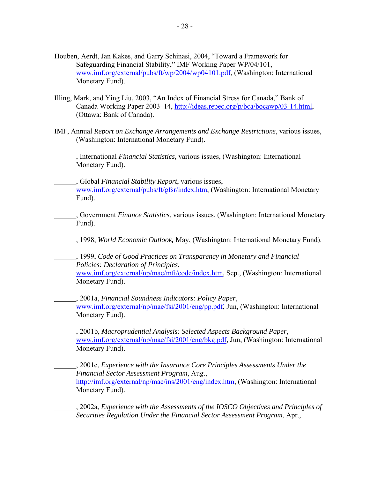- Houben, Aerdt, Jan Kakes, and Garry Schinasi, 2004, "Toward a Framework for Safeguarding Financial Stability," IMF Working Paper WP/04/101, www.imf.org/external/pubs/ft/wp/2004/wp04101.pdf, (Washington: International Monetary Fund).
- Illing, Mark, and Ying Liu, 2003, "An Index of Financial Stress for Canada," Bank of Canada Working Paper 2003–14, [http://ideas.repec.org/p/bca/bocawp/03-14.html,](http://ideas.repec.org/p/bca/bocawp/03-14.html)  (Ottawa: Bank of Canada).
- IMF, Annual *Report on Exchange Arrangements and Exchange Restrictions*, various issues, (Washington: International Monetary Fund).

 , International *Financial Statistics*, various issues, (Washington: International Monetary Fund).

 , Global *Financial Stability Report*, various issues, www.imf.org/external/pubs/ft/gfsr/index.htm, (Washington: International Monetary Fund).

- , Government *Finance Statistics*, various issues, (Washington: International Monetary Fund).
- , 1998, *World Economic Outlook,* May, (Washington: International Monetary Fund).

 , 1999, *Code of Good Practices on Transparency in Monetary and Financial Policies: Declaration of Principles*, www.imf.org/external/np/mae/mft/code/index.htm, Sep., (Washington: International Monetary Fund).

 , 2001a, *Financial Soundness Indicators: Policy Paper*, www.imf.org/external/np/mae/fsi/2001/eng/pp.pdf, Jun, (Washington: International Monetary Fund).

 , 2001b, *Macroprudential Analysis: Selected Aspects Background Paper*, www.imf.org/external/np/mae/fsi/2001/eng/bkg.pdf, Jun, (Washington: International Monetary Fund).

 , 2001c, *Experience with the Insurance Core Principles Assessments Under the Financial Sector Assessment Program*, Aug., [http://imf.org/external/np/mae/ins/2001/eng/index.htm,](http://imf.org/external/np/mae/ins/2001/eng/index.htm) (Washington: International Monetary Fund).

 , 2002a, *Experience with the Assessments of the IOSCO Objectives and Principles of Securities Regulation Under the Financial Sector Assessment Program*, Apr.,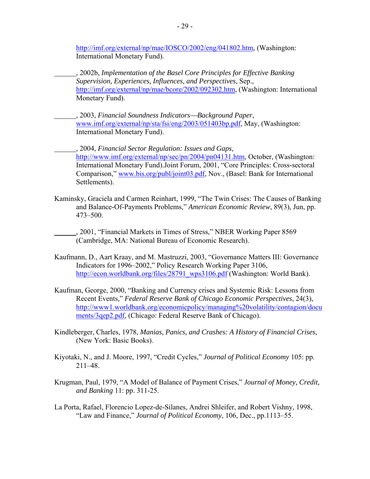[http://imf.org/external/np/mae/IOSCO/2002/eng/041802.htm,](http://imf.org/external/np/mae/IOSCO/2002/eng/041802.htm) (Washington: International Monetary Fund).

- , 2002b, *Implementation of the Basel Core Principles for Effective Banking Supervision, Experiences, Influences, and Perspectives*, Sep., [http://imf.org/external/np/mae/bcore/2002/092302.htm,](http://imf.org/external/np/mae/bcore/2002/092302.htm) (Washington: International Monetary Fund).
- , 2003, *Financial Soundness Indicators*⎯*Background Paper*, www.imf.org/external/np/sta/fsi/eng/2003/051403bp.pdf, May, (Washington: International Monetary Fund).

 , 2004, *Financial Sector Regulation: Issues and Gaps,*  [http://www.imf.org/external/np/sec/pn/2004/pn04131.htm,](http://0-www-imf-org.library.svsu.edu/external/np/sec/pn/2004/pn04131.htm) October, (Washington: International Monetary Fund).Joint Forum, 2001, "Core Principles: Cross-sectoral Comparison," www.bis.org/publ/joint03.pdf, Nov., (Basel: Bank for International Settlements).

- Kaminsky, Graciela and Carmen Reinhart, 1999, "The Twin Crises: The Causes of Banking and Balance-Of-Payments Problems," *American Economic Review*, 89(3), Jun, pp. 473–500.
- , 2001, "Financial Markets in Times of Stress," NBER Working Paper 8569 (Cambridge, MA: National Bureau of Economic Research).
- Kaufmann, D., Aart Kraay, and M. Mastruzzi, 2003, "Governance Matters III: Governance Indicators for 1996–2002," Policy Research Working Paper 3106, [http://econ.worldbank.org/files/28791\\_wps3106.pdf](http://econ.worldbank.org/files/28791_wps3106.pdf) (Washington: World Bank).
- Kaufman, George, 2000, "Banking and Currency crises and Systemic Risk: Lessons from Recent Events," *Federal Reserve Bank of Chicago Economic Perspectives*, 24(3), <http://www1.worldbank.org/economicpolicy/managing%20volatility/contagion/docu> ments/3qep2.pdf, (Chicago: Federal Reserve Bank of Chicago).
- Kindleberger, Charles, 1978, *Manias, Panics, and Crashes: A History of Financial Crises*, (New York: Basic Books).
- Kiyotaki, N., and J. Moore, 1997, "Credit Cycles," *Journal of Political Economy* 105: pp. 211–48.
- Krugman, Paul, 1979, "A Model of Balance of Payment Crises," *Journal of Money, Credit, and Banking* 11: pp. 311-25.
- La Porta, Rafael, Florencio Lopez-de-Silanes, Andrei Shleifer, and Robert Vishny, 1998, "Law and Finance," *Journal of Political Economy*, 106, Dec., pp.1113–55.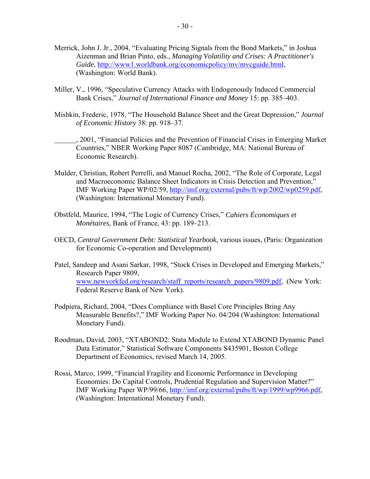- Merrick, John J. Jr., 2004, "Evaluating Pricing Signals from the Bond Markets," in Joshua Aizenman and Brian Pinto, eds., *Managing Volatility and Crises: A Practitioner's Guide*, [http://www1.worldbank.org/economicpolicy/mv/mvcguide.html,](http://www1.worldbank.org/economicpolicy/mv/mvcguide.html)  (Washington: World Bank).
- Miller, V., 1996, "Speculative Currency Attacks with Endogenously Induced Commercial Bank Crises," *Journal of International Finance and Money* 15: pp. 385–403.
- Mishkin, Frederic, 1978, "The Household Balance Sheet and the Great Depression," *Journal of Economic History* 38: pp. 918–37.
- , 2001, "Financial Policies and the Prevention of Financial Crises in Emerging Market Countries," NBER Working Paper 8087 (Cambridge, MA: National Bureau of Economic Research).
- Mulder, Christian, Robert Perrelli, and Manuel Rocha, 2002, "The Role of Corporate, Legal and Macroeconomic Balance Sheet Indicators in Crisis Detection and Prevention," IMF Working Paper WP/02/59, [http://imf.org/external/pubs/ft/wp/2002/wp0259.pdf,](http://imf.org/external/pubs/ft/wp/2002/wp0259.pdf) (Washington: International Monetary Fund).
- Obstfeld, Maurice, 1994, "The Logic of Currency Crises," *Cahiers Économiques et Monétaires*, Bank of France, 43: pp. 189–213.
- OECD, *Central Government Debt: Statistical Yearbook*, various issues, (Paris: Organization for Economic Co-operation and Development)
- Patel, Sandeep and Asani Sarkar, 1998, "Stock Crises in Developed and Emerging Markets," Research Paper 9809, www.newyorkfed.org/research/staff\_reports/research\_papers/9809.pdf, (New York: Federal Reserve Bank of New York).
- Podpiera, Richard, 2004, "Does Compliance with Basel Core Principles Bring Any Measurable Benefits?," IMF Working Paper No. 04/204 (Washington: International Monetary Fund).
- Roodman, David, 2003, "XTABOND2: Stata Module to Extend XTABOND Dynamic Panel Data Estimator," Statistical Software Components S435901, Boston College Department of Economics, revised March 14, 2005.
- Rossi, Marco, 1999, "Financial Fragility and Economic Performance in Developing Economies: Do Capital Controls, Prudential Regulation and Supervision Matter?" IMF Working Paper WP/99/66, [http://imf.org/external/pubs/ft/wp/1999/wp9966.pdf,](http://imf.org/external/pubs/ft/wp/1999/wp9966.pdf) (Washington: International Monetary Fund).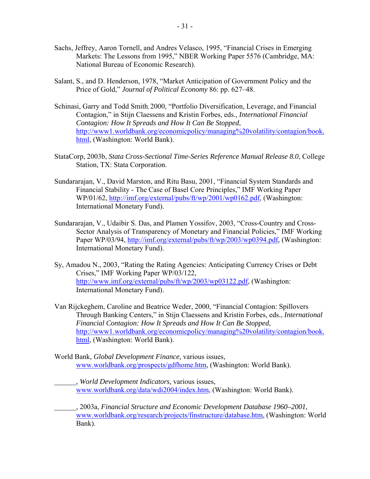- Sachs, Jeffrey, Aaron Tornell, and Andres Velasco, 1995, "Financial Crises in Emerging Markets: The Lessons from 1995," NBER Working Paper 5576 (Cambridge, MA: National Bureau of Economic Research).
- Salant, S., and D. Henderson, 1978, "Market Anticipation of Government Policy and the Price of Gold," *Journal of Political Economy* 86: pp. 627–48.
- Schinasi, Garry and Todd Smith, 2000, "Portfolio Diversification, Leverage, and Financial Contagion," in Stijn Claessens and Kristin Forbes, eds., *International Financial Contagion: How It Spreads and How It Can Be Stopped*, [http://www1.worldbank.org/economicpolicy/managing%20volatility/contagion/book.](http://www1.worldbank.org/economicpolicy/managing%20volatility/contagion/book) html, (Washington: World Bank).
- StataCorp, 2003b, *Stata Cross-Sectional Time-Series Reference Manual Release 8.0*, College Station, TX: Stata Corporation.
- Sundararajan, V., David Marston, and Ritu Basu, 2001, "Financial System Standards and Financial Stability - The Case of Basel Core Principles," IMF Working Paper WP/01/62, [http://imf.org/external/pubs/ft/wp/2001/wp0162.pdf,](http://imf.org/external/pubs/ft/wp/2001/wp0162.pdf) (Washington: International Monetary Fund).
- Sundararajan, V., Udaibir S. Das, and Plamen Yossifov, 2003, "Cross-Country and Cross-Sector Analysis of Transparency of Monetary and Financial Policies," IMF Working Paper WP/03/94, [http://imf.org/external/pubs/ft/wp/2003/wp0394.pdf,](http://imf.org/external/pubs/ft/wp/2003/wp0394.pdf) (Washington: International Monetary Fund).
- Sy, Amadou N., 2003, "Rating the Rating Agencies: Anticipating Currency Crises or Debt Crises," IMF Working Paper WP/03/122, [http://www.imf.org/external/pubs/ft/wp/2003/wp03122.pdf,](http://0-www-imf-org.library.svsu.edu/external/pubs/ft/wp/2003/wp03122.pdf) (Washington: International Monetary Fund).
- Van Rijckeghem, Caroline and Beatrice Weder, 2000, "Financial Contagion: Spillovers Through Banking Centers," in Stijn Claessens and Kristin Forbes, eds., *International Financial Contagion: How It Spreads and How It Can Be Stopped*, [http://www1.worldbank.org/economicpolicy/managing%20volatility/contagion/book.](http://www1.worldbank.org/economicpolicy/managing%20volatility/contagion/book) html, (Washington: World Bank).
- World Bank, *Global Development Finance,* various issues, www.worldbank.org/prospects/gdfhome.htm, (Washington: World Bank).
	- , *World Development Indicators,* various issues, www.worldbank.org/data/wdi2004/index.htm, (Washington: World Bank).

 , 2003a, *Financial Structure and Economic Development Database 1960–2001*, www.worldbank.org/research/projects/finstructure/database.htm, (Washington: World Bank).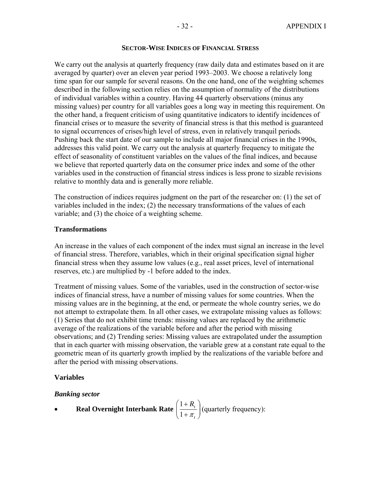## **SECTOR-WISE INDICES OF FINANCIAL STRESS**

We carry out the analysis at quarterly frequency (raw daily data and estimates based on it are averaged by quarter) over an eleven year period 1993–2003. We choose a relatively long time span for our sample for several reasons. On the one hand, one of the weighting schemes described in the following section relies on the assumption of normality of the distributions of individual variables within a country. Having 44 quarterly observations (minus any missing values) per country for all variables goes a long way in meeting this requirement. On the other hand, a frequent criticism of using quantitative indicators to identify incidences of financial crises or to measure the severity of financial stress is that this method is guaranteed to signal occurrences of crises/high level of stress, even in relatively tranquil periods. Pushing back the start date of our sample to include all major financial crises in the 1990s, addresses this valid point. We carry out the analysis at quarterly frequency to mitigate the effect of seasonality of constituent variables on the values of the final indices, and because we believe that reported quarterly data on the consumer price index and some of the other variables used in the construction of financial stress indices is less prone to sizable revisions relative to monthly data and is generally more reliable.

The construction of indices requires judgment on the part of the researcher on: (1) the set of variables included in the index; (2) the necessary transformations of the values of each variable; and (3) the choice of a weighting scheme.

# **Transformations**

An increase in the values of each component of the index must signal an increase in the level of financial stress. Therefore, variables, which in their original specification signal higher financial stress when they assume low values (e.g., real asset prices, level of international reserves, etc.) are multiplied by -1 before added to the index.

Treatment of missing values. Some of the variables, used in the construction of sector-wise indices of financial stress, have a number of missing values for some countries. When the missing values are in the beginning, at the end, or permeate the whole country series, we do not attempt to extrapolate them. In all other cases, we extrapolate missing values as follows: (1) Series that do not exhibit time trends: missing values are replaced by the arithmetic average of the realizations of the variable before and after the period with missing observations; and (2) Trending series: Missing values are extrapolated under the assumption that in each quarter with missing observation, the variable grew at a constant rate equal to the geometric mean of its quarterly growth implied by the realizations of the variable before and after the period with missing observations.

# **Variables**

# *Banking sector*

• Real Overnight Interbank Rate 
$$
\left(\frac{1+R_t}{1+\pi_t}\right)
$$
 (quarterly frequency):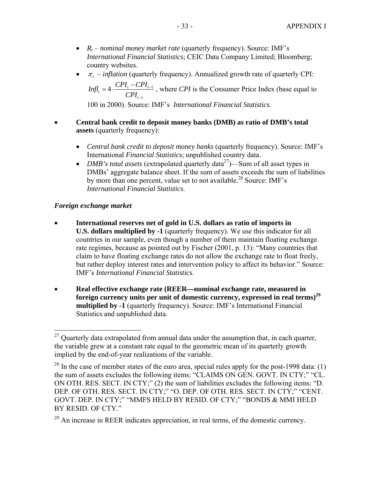- *R<sub>t</sub> nominal money market rate* (quarterly frequency). Source: IMF's *International Financial Statistics*; CEIC Data Company Limited; Bloomberg; country websites.
- $\pi$  *inflation* (quarterly frequency). Annualized growth rate of quarterly CPI:
	- 1 1  $t_t = 4 \cdot \frac{C_1 I_t C_1 I_t}{C_1 I}$  $Infl<sub>t</sub> = 4 \cdot \frac{CPI_{t} - CPI_{t-1}}{CPI_{t-1}}$ −  $=4 \cdot \frac{CPI_t - CPI_{t-1}}{2C}$ , where *CPI* is the Consumer Price Index (base equal to

100 in 2000). Source: IMF's *International Financial Statistics*.

- **Central bank credit to deposit money banks (DMB) as ratio of DMB's total assets** (quarterly frequency):
	- *Central bank credit to deposit money banks* (quarterly frequency). Source: IMF's International *Financial Statistic*s; unpublished country data.
	- *DMB's total assets* (extrapolated quarterly data<sup>27</sup>)—Sum of all asset types in DMBs' aggregate balance sheet. If the sum of assets exceeds the sum of liabilities by more than one percent, value set to not available.<sup>28</sup> Source: IMF's *International Financial Statistics*.

# *Foreign exchange market*

1

- **International reserves net of gold in U.S. dollars as ratio of imports in U.S. dollars multiplied by -1** (quarterly frequency). We use this indicator for all countries in our sample, even though a number of them maintain floating exchange rate regimes, because as pointed out by Fischer (2001, p. 13): "Many countries that claim to have floating exchange rates do not allow the exchange rate to float freely, but rather deploy interest rates and intervention policy to affect its behavior." Source: IMF's *International Financial Statistics*.
- **Real effective exchange rate (REER**⎯**nominal exchange rate, measured in foreign currency units per unit of domestic currency, expressed in real terms)29 multiplied by -1** (quarterly frequency). Source: IMF's International Financial Statistics and unpublished data.

 $^{27}$  Quarterly data extrapolated from annual data under the assumption that, in each quarter, the variable grew at a constant rate equal to the geometric mean of its quarterly growth implied by the end-of-year realizations of the variable.

 $^{28}$  In the case of member states of the euro area, special rules apply for the post-1998 data: (1) the sum of assets excludes the following items: "CLAIMS ON GEN. GOVT. IN CTY;" "CL. ON OTH. RES. SECT. IN CTY;" (2) the sum of liabilities excludes the following items: "D. DEP. OF OTH. RES. SECT. IN CTY;" "O. DEP. OF OTH. RES. SECT. IN CTY;" "CENT. GOVT. DEP. IN CTY;" "MMFS HELD BY RESID. OF CTY;" "BONDS & MMI HELD BY RESID. OF CTY."

 $29$  An increase in REER indicates appreciation, in real terms, of the domestic currency.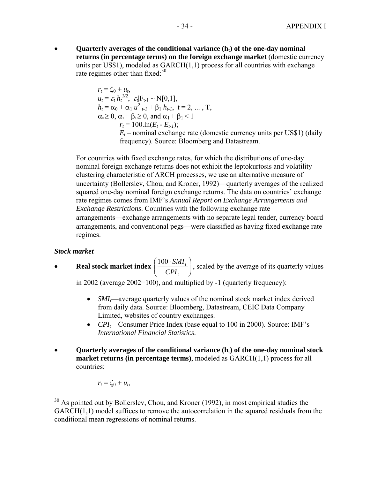• **Quarterly averages of the conditional variance (h<sub>t</sub>) of the one-day nominal returns (in percentage terms) on the foreign exchange market** (domestic currency units per US\$1), modeled as  $GARCH(1,1)$  process for all countries with exchange rate regimes other than fixed: $30$ 

$$
r_t = \zeta_0 + u_t,
$$
  
\n
$$
u_t = \varepsilon_t h_t^{1/2}, \varepsilon_t |F_{t-1} \sim N[0,1],
$$
  
\n
$$
h_t = \alpha_0 + \alpha_1 u_{t-1}^2 + \beta_1 h_{t-1}, \ t = 2, ..., T,
$$
  
\n
$$
\alpha_0 \ge 0, \alpha_1 + \beta_1 \ge 0, \text{ and } \alpha_1 + \beta_1 < 1
$$
  
\n
$$
r_t = 100 \cdot \ln(E_t - E_{t-1});
$$
  
\n
$$
E_t - \text{nominal exchange rate (domestic currency units per US$1) (daily frequency). Source: Bloomberg and Datastream.}
$$

For countries with fixed exchange rates, for which the distributions of one-day nominal foreign exchange returns does not exhibit the leptokurtosis and volatility clustering characteristic of ARCH processes, we use an alternative measure of uncertainty (Bollersley, Chou, and Kroner, 1992)—quarterly averages of the realized squared one-day nominal foreign exchange returns. The data on countries' exchange rate regimes comes from IMF's *Annual Report on Exchange Arrangements and Exchange Restrictions*. Countries with the following exchange rate arrangements—exchange arrangements with no separate legal tender, currency board arrangements, and conventional pegs—were classified as having fixed exchange rate regimes.

# *Stock market*

 $\overline{a}$ 

• **Real stock market index**  $\left| \frac{100 \cdot 5ML_t}{CDI} \right|$ ⎠ ⎞  $\overline{\phantom{a}}$ ⎝  $(100 \cdot$ *t t CPI*  $\left(\frac{100 \cdot SMI_t}{200 \cdot SMI_t}\right)$ , scaled by the average of its quarterly values

in 2002 (average 2002=100), and multiplied by -1 (quarterly frequency):

- *SMI<sub>t</sub>*—average quarterly values of the nominal stock market index derived from daily data. Source: Bloomberg, Datastream, CEIC Data Company Limited, websites of country exchanges.
- *CPI*—Consumer Price Index (base equal to 100 in 2000). Source: IMF's *International Financial Statistics*.
- **Quarterly averages of the conditional variance**  $(h_t)$  **of the one-day nominal stock market returns (in percentage terms)**, modeled as GARCH(1,1) process for all countries:

 $r_t = \zeta_0 + u_t$ 

 $30$  As pointed out by Bollerslev, Chou, and Kroner (1992), in most empirical studies the GARCH(1,1) model suffices to remove the autocorrelation in the squared residuals from the conditional mean regressions of nominal returns.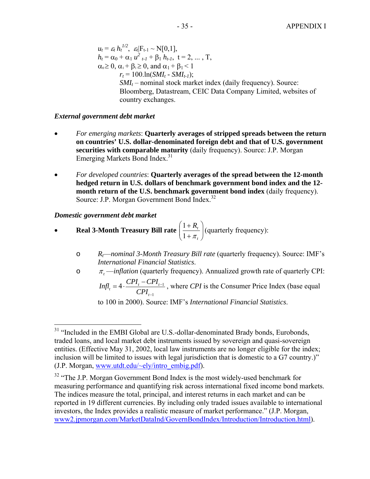$u_t = \varepsilon_t h_t^{1/2}, \ \varepsilon_t |F_{t-1} \sim N[0,1],$  $h_t = \alpha_0 + \alpha_1 u^2_{t-1} + \beta_1 h_{t-1}, t = 2, ..., T,$  $\alpha_0 \geq 0$ ,  $\alpha_1 + \beta_1 \geq 0$ , and  $\alpha_1 + \beta_1 < 1$  $r_t = 100 \cdot \ln(SMI_t - SMI_{t-1});$  $SMI_t$  – nominal stock market index (daily frequency). Source: Bloomberg, Datastream, CEIC Data Company Limited, websites of country exchanges.

# *External government debt market*

- *For emerging markets*: **Quarterly averages of stripped spreads between the return on countries' U.S. dollar-denominated foreign debt and that of U.S. government securities with comparable maturity** (daily frequency). Source: J.P. Morgan Emerging Markets Bond Index.<sup>31</sup>
- *For developed countries*: **Quarterly averages of the spread between the 12-month hedged return in U.S. dollars of benchmark government bond index and the 12 month return of the U.S. benchmark government bond index** (daily frequency). Source: J.P. Morgan Government Bond Index.<sup>32</sup>

## *Domestic government debt market*

1

- **Real 3-Month Treasury Bill rate**  $\left| \frac{1 + R_t}{1 + \pi} \right|$ ⎠ ⎞  $\overline{\phantom{a}}$ ⎝  $\big($ + + *t*  $R_{t}$  $1 + \pi$  $\frac{1+R_t}{1}$  (quarterly frequency):
	- o *Rt*—*nominal 3-Month Treasury Bill rate* (quarterly frequency). Source: IMF's *International Financial Statistics*.
	- o <sup>π</sup> *<sup>t</sup>* —*inflation* (quarterly frequency). Annualized growth rate of quarterly CPI: 1 1  $t_t = 4 \cdot \frac{C_1 I_t C_1 I_t}{C_1 I}$  $Infl<sub>t</sub> = 4 \cdot \frac{CPI_{t} - CPI_{t-1}}{CPI_{t-1}}$ −  $=4 \cdot \frac{CPI_t - CPI_{t-1}}{T}$ , where *CPI* is the Consumer Price Index (base equal

to 100 in 2000). Source: IMF's *International Financial Statistics*.

<sup>&</sup>lt;sup>31</sup> "Included in the EMBI Global are U.S.-dollar-denominated Brady bonds, Eurobonds, traded loans, and local market debt instruments issued by sovereign and quasi-sovereign entities. (Effective May 31, 2002, local law instruments are no longer eligible for the index; inclusion will be limited to issues with legal jurisdiction that is domestic to a G7 country.)" (J.P. Morgan, www.utdt.edu/~ely/intro\_embig.pdf).

 $32$  "The J.P. Morgan Government Bond Index is the most widely-used benchmark for measuring performance and quantifying risk across international fixed income bond markets. The indices measure the total, principal, and interest returns in each market and can be reported in 19 different currencies. By including only traded issues available to international investors, the Index provides a realistic measure of market performance." (J.P. Morgan, www2.jpmorgan.com/MarketDataInd/GovernBondIndex/Introduction/Introduction.html).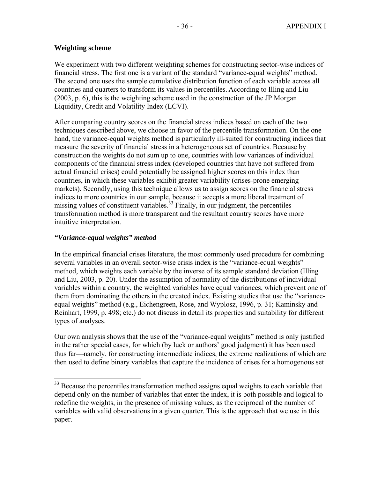# **Weighting scheme**

We experiment with two different weighting schemes for constructing sector-wise indices of financial stress. The first one is a variant of the standard "variance-equal weights" method. The second one uses the sample cumulative distribution function of each variable across all countries and quarters to transform its values in percentiles. According to Illing and Liu (2003, p. 6), this is the weighting scheme used in the construction of the JP Morgan Liquidity, Credit and Volatility Index (LCVI).

After comparing country scores on the financial stress indices based on each of the two techniques described above, we choose in favor of the percentile transformation. On the one hand, the variance-equal weights method is particularly ill-suited for constructing indices that measure the severity of financial stress in a heterogeneous set of countries. Because by construction the weights do not sum up to one, countries with low variances of individual components of the financial stress index (developed countries that have not suffered from actual financial crises) could potentially be assigned higher scores on this index than countries, in which these variables exhibit greater variability (crises-prone emerging markets). Secondly, using this technique allows us to assign scores on the financial stress indices to more countries in our sample, because it accepts a more liberal treatment of missing values of constituent variables.<sup>33</sup> Finally, in our judgment, the percentiles transformation method is more transparent and the resultant country scores have more intuitive interpretation.

# *"Variance-equal weights" method*

 $\overline{a}$ 

In the empirical financial crises literature, the most commonly used procedure for combining several variables in an overall sector-wise crisis index is the "variance-equal weights" method, which weights each variable by the inverse of its sample standard deviation (Illing and Liu, 2003, p. 20). Under the assumption of normality of the distributions of individual variables within a country, the weighted variables have equal variances, which prevent one of them from dominating the others in the created index. Existing studies that use the "varianceequal weights" method (e.g., Eichengreen, Rose, and Wyplosz, 1996, p. 31; Kaminsky and Reinhart, 1999, p. 498; etc.) do not discuss in detail its properties and suitability for different types of analyses.

Our own analysis shows that the use of the "variance-equal weights" method is only justified in the rather special cases, for which (by luck or authors' good judgment) it has been used thus far—namely, for constructing intermediate indices, the extreme realizations of which are then used to define binary variables that capture the incidence of crises for a homogenous set

 $33$  Because the percentiles transformation method assigns equal weights to each variable that depend only on the number of variables that enter the index, it is both possible and logical to redefine the weights, in the presence of missing values, as the reciprocal of the number of variables with valid observations in a given quarter. This is the approach that we use in this paper.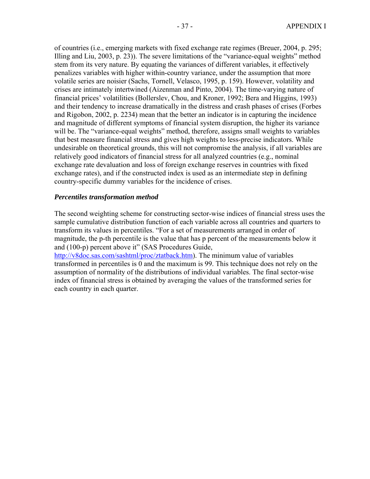of countries (i.e., emerging markets with fixed exchange rate regimes (Breuer, 2004, p. 295; Illing and Liu, 2003, p. 23)). The severe limitations of the "variance-equal weights" method stem from its very nature. By equating the variances of different variables, it effectively penalizes variables with higher within-country variance, under the assumption that more volatile series are noisier (Sachs, Tornell, Velasco, 1995, p. 159). However, volatility and crises are intimately intertwined (Aizenman and Pinto, 2004). The time-varying nature of financial prices' volatilities (Bollerslev, Chou, and Kroner, 1992; Bera and Higgins, 1993) and their tendency to increase dramatically in the distress and crash phases of crises (Forbes and Rigobon, 2002, p. 2234) mean that the better an indicator is in capturing the incidence and magnitude of different symptoms of financial system disruption, the higher its variance will be. The "variance-equal weights" method, therefore, assigns small weights to variables that best measure financial stress and gives high weights to less-precise indicators. While undesirable on theoretical grounds, this will not compromise the analysis, if all variables are relatively good indicators of financial stress for all analyzed countries (e.g., nominal exchange rate devaluation and loss of foreign exchange reserves in countries with fixed exchange rates), and if the constructed index is used as an intermediate step in defining country-specific dummy variables for the incidence of crises.

## *Percentiles transformation method*

The second weighting scheme for constructing sector-wise indices of financial stress uses the sample cumulative distribution function of each variable across all countries and quarters to transform its values in percentiles. "For a set of measurements arranged in order of magnitude, the p-th percentile is the value that has p percent of the measurements below it and (100-p) percent above it" (SAS Procedures Guide,

<http://v8doc.sas.com/sashtml/proc/ztatback.htm>). The minimum value of variables transformed in percentiles is 0 and the maximum is 99. This technique does not rely on the assumption of normality of the distributions of individual variables. The final sector-wise index of financial stress is obtained by averaging the values of the transformed series for each country in each quarter.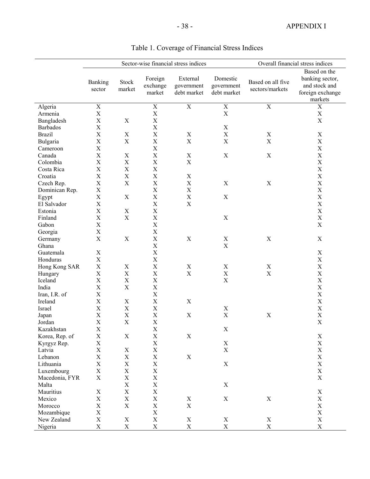# - 38 - APPENDIX I

|                 | Sector-wise financial stress indices |                           |             |                           | Overall financial stress indices |                   |                  |
|-----------------|--------------------------------------|---------------------------|-------------|---------------------------|----------------------------------|-------------------|------------------|
|                 |                                      |                           |             |                           |                                  |                   | Based on the     |
|                 | Banking                              | Stock                     | Foreign     | External                  | Domestic                         | Based on all five | banking sector,  |
|                 | sector                               | market                    | exchange    | government                | government                       | sectors/markets   | and stock and    |
|                 |                                      |                           | market      | debt market               | debt market                      |                   | foreign exchange |
|                 |                                      |                           |             |                           |                                  |                   | markets          |
| Algeria         | X                                    |                           | X           | $\mathbf X$               | X                                | X                 | $\mathbf X$      |
| Armenia         | $\mathbf X$                          |                           | $\mathbf X$ |                           | $\mathbf X$                      |                   | $\mathbf X$      |
| Bangladesh      | X                                    | $\mathbf X$               | $\mathbf X$ |                           |                                  |                   | $\mathbf X$      |
| <b>Barbados</b> | X                                    |                           | $\mathbf X$ |                           | $\mathbf X$                      |                   |                  |
| <b>Brazil</b>   | $\mathbf X$                          | $\mathbf X$               | $\mathbf X$ | $\mathbf X$               | $\mathbf X$                      | X                 | X                |
| Bulgaria        | X                                    | $\mathbf X$               | $\mathbf X$ | $\mathbf X$               | $\mathbf X$                      | $\mathbf X$       | $\mathbf X$      |
| Cameroon        | X                                    |                           | $\mathbf X$ |                           |                                  |                   | X                |
| Canada          | X                                    | $\mathbf X$               | $\mathbf X$ | $\mathbf X$               | X                                | X                 | $\mathbf X$      |
| Colombia        | $\mathbf X$                          | $\mathbf X$               | $\mathbf X$ | $\boldsymbol{\mathrm{X}}$ |                                  |                   | X                |
| Costa Rica      | $\mathbf X$                          | $\mathbf X$               | $\mathbf X$ |                           |                                  |                   | X                |
| Croatia         | X                                    | $\mathbf X$               | $\mathbf X$ | X                         |                                  |                   | $\mathbf X$      |
| Czech Rep.      | X                                    | $\mathbf X$               | $\mathbf X$ | $\mathbf X$               | $\mathbf X$                      | $\mathbf X$       | $\mathbf X$      |
| Dominican Rep.  | $\mathbf X$                          |                           | $\mathbf X$ | $\mathbf X$               |                                  |                   | $\mathbf X$      |
| Egypt           | $\mathbf X$                          | $\mathbf X$               | $\mathbf X$ | $\mathbf X$               | $\mathbf X$                      |                   | $\mathbf X$      |
| El Salvador     | X                                    |                           | $\mathbf X$ | $\mathbf X$               |                                  |                   | $\mathbf X$      |
| Estonia         | $\boldsymbol{\mathrm{X}}$            | $\mathbf X$               | $\mathbf X$ |                           |                                  |                   | $\mathbf X$      |
| Finland         | X                                    | $\mathbf X$               | $\mathbf X$ |                           | X                                |                   | $\mathbf X$      |
| Gabon           | X                                    |                           | $\mathbf X$ |                           |                                  |                   | $\mathbf X$      |
| Georgia         | X                                    |                           | $\mathbf X$ |                           |                                  |                   |                  |
| Germany         | X                                    | $\mathbf X$               | $\mathbf X$ | $\mathbf X$               | X                                | $\mathbf X$       | $\mathbf X$      |
| Ghana           |                                      |                           | $\mathbf X$ |                           | $\mathbf X$                      |                   |                  |
| Guatemala       | X                                    |                           | $\mathbf X$ |                           |                                  |                   | $\mathbf X$      |
| Honduras        | X                                    |                           | $\mathbf X$ |                           |                                  |                   | $\mathbf X$      |
| Hong Kong SAR   | X                                    | $\mathbf X$               | $\mathbf X$ | $\mathbf X$               | $\mathbf X$                      | $\mathbf X$       | $\mathbf X$      |
| Hungary         | X                                    | $\mathbf X$               | $\mathbf X$ | $\mathbf X$               | $\mathbf X$                      | $\mathbf X$       | $\mathbf X$      |
| Iceland         | X                                    | $\mathbf X$               | $\mathbf X$ |                           | $\mathbf X$                      |                   | $\mathbf X$      |
| India           | $\mathbf X$                          | $\mathbf X$               | $\mathbf X$ |                           |                                  |                   | $\mathbf X$      |
| Iran, I.R. of   | $\mathbf X$                          |                           | $\mathbf X$ |                           |                                  |                   | $\mathbf X$      |
| Ireland         | X                                    | $\mathbf X$               | $\mathbf X$ | X                         |                                  |                   | $\mathbf X$      |
| Israel          | X                                    | $\mathbf X$               | $\mathbf X$ |                           | X                                |                   | $\mathbf X$      |
| Japan           | $\mathbf X$                          | $\boldsymbol{\mathrm{X}}$ | $\mathbf X$ | $\mathbf X$               | $\mathbf X$                      | $\mathbf X$       | $\mathbf X$      |
| Jordan          | $\mathbf X$                          | X                         | $\mathbf X$ |                           |                                  |                   | $\mathbf X$      |
| Kazakhstan      | $\mathbf X$                          |                           | X           |                           | X                                |                   |                  |
| Korea, Rep. of  | $\mathbf X$                          | X                         | $\mathbf X$ | $\mathbf X$               |                                  |                   | X                |
| Kyrgyz Rep.     | X                                    |                           | $\mathbf X$ |                           | $\mathbf X$                      |                   | $\mathbf X$      |
| Latvia          | $\mathbf X$                          | $\mathbf X$               | $\mathbf X$ |                           | $\mathbf X$                      |                   | $\mathbf X$      |
| Lebanon         | $\mathbf X$                          | $\mathbf X$               | $\mathbf X$ | $\mathbf X$               |                                  |                   | $\mathbf X$      |
| Lithuania       | $\mathbf X$                          | $\mathbf X$               | $\mathbf X$ |                           | $\mathbf X$                      |                   | $\mathbf X$      |
| Luxembourg      | $\mathbf X$                          | $\mathbf X$               | $\mathbf X$ |                           |                                  |                   | $\mathbf X$      |
| Macedonia, FYR  | X                                    | $\mathbf X$               | $\mathbf X$ |                           |                                  |                   | X                |
| Malta           |                                      | $\mathbf X$               | $\mathbf X$ |                           | X                                |                   |                  |
| Mauritius       | X                                    | $\mathbf X$               | $\mathbf X$ |                           |                                  |                   | X                |
| Mexico          | $\mathbf X$                          | $\mathbf X$               | $\mathbf X$ | X                         | $\mathbf X$                      | $\mathbf X$       | $\mathbf X$      |
| Morocco         | $\mathbf X$                          | $\mathbf X$               | $\mathbf X$ | $\mathbf X$               |                                  |                   | $\mathbf X$      |
| Mozambique      | $\mathbf X$                          |                           | $\mathbf X$ |                           |                                  |                   | $\mathbf X$      |
| New Zealand     | $\mathbf X$                          | $\mathbf X$               | $\mathbf X$ | X                         | X                                | X                 | $\mathbf X$      |
| Nigeria         | $\mathbf X$                          | $\mathbf X$               | $\mathbf X$ | $\mathbf X$               | $\mathbf X$                      | $\mathbf X$       | $\mathbf X$      |

# Table 1. Coverage of Financial Stress Indices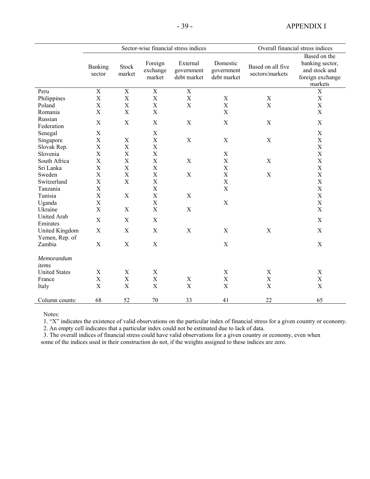- 39 - APPENDIX I

|                                  |                           |                 |                               | Sector-wise financial stress indices  |                                       |                                      | Overall financial stress indices                                                |
|----------------------------------|---------------------------|-----------------|-------------------------------|---------------------------------------|---------------------------------------|--------------------------------------|---------------------------------------------------------------------------------|
|                                  | Banking<br>sector         | Stock<br>market | Foreign<br>exchange<br>market | External<br>government<br>debt market | Domestic<br>government<br>debt market | Based on all five<br>sectors/markets | Based on the<br>banking sector,<br>and stock and<br>foreign exchange<br>markets |
| Peru                             | $\mathbf X$               | $\mathbf X$     | $\overline{X}$                | $\mathbf X$                           |                                       |                                      | $\mathbf X$                                                                     |
| Philippines                      | X                         | $\mathbf X$     | $\mathbf X$                   | $\mathbf X$                           | $\mathbf X$                           | $\boldsymbol{\mathrm{X}}$            | $\mathbf X$                                                                     |
| Poland                           | $\boldsymbol{\mathrm{X}}$ | $\mathbf X$     | $\mathbf X$                   | $\mathbf X$                           | $\mathbf X$                           | $\mathbf X$                          | $\mathbf X$                                                                     |
| Romania                          | $\mathbf X$               | $\mathbf X$     | $\mathbf X$                   |                                       | $\mathbf X$                           |                                      | X                                                                               |
| Russian<br>Federation            | X                         | $\mathbf X$     | $\mathbf X$                   | $\mathbf X$                           | $\mathbf X$                           | $\mathbf X$                          | $\mathbf X$                                                                     |
| Senegal                          | X                         |                 | $\mathbf X$                   |                                       |                                       |                                      | $\mathbf X$                                                                     |
| Singapore                        | $\boldsymbol{\mathrm{X}}$ | $\mathbf X$     | $\mathbf X$                   | $\mathbf X$                           | $\mathbf X$                           | $\mathbf X$                          | $\mathbf X$                                                                     |
| Slovak Rep.                      | X                         | $\mathbf X$     | $\mathbf X$                   |                                       |                                       |                                      | $\boldsymbol{\mathrm{X}}$                                                       |
| Slovenia                         | $\mathbf X$               | $\mathbf X$     | $\mathbf X$                   |                                       | $\mathbf X$                           |                                      | $\mathbf X$                                                                     |
| South Africa                     | $\mathbf X$               | $\mathbf X$     | $\mathbf X$                   | $\mathbf X$                           | $\mathbf X$                           | $\mathbf X$                          | $\mathbf X$                                                                     |
| Sri Lanka                        | $\mathbf X$               | $\mathbf X$     | $\mathbf X$                   |                                       | $\mathbf X$                           |                                      | $\mathbf X$                                                                     |
| Sweden                           | $\mathbf X$               | $\mathbf X$     | $\mathbf X$                   | $\mathbf X$                           | $\mathbf X$                           | $\mathbf X$                          | $\mathbf X$                                                                     |
| Switzerland                      | $\mathbf X$               | $\mathbf X$     | $\mathbf X$                   |                                       | $\mathbf X$                           |                                      | $\mathbf X$                                                                     |
| Tanzania                         | $\mathbf X$               |                 | $\mathbf X$                   |                                       | $\mathbf X$                           |                                      | $\mathbf X$                                                                     |
| Tunisia                          | X                         | $\mathbf X$     | $\mathbf X$                   | X                                     |                                       |                                      | $\mathbf X$                                                                     |
| Uganda                           | $\mathbf X$               |                 | $\mathbf X$                   |                                       | $\mathbf X$                           |                                      | $\mathbf X$                                                                     |
| Ukraine                          | $\mathbf X$               | $\mathbf X$     | $\mathbf X$                   | $\mathbf X$                           |                                       |                                      | $\mathbf X$                                                                     |
| <b>United Arab</b><br>Emirates   | X                         | X               | X                             |                                       |                                       |                                      | X                                                                               |
| United Kingdom<br>Yemen, Rep. of | $\mathbf X$               | $\mathbf X$     | $\mathbf X$                   | $\mathbf X$                           | $\mathbf X$                           | $\mathbf X$                          | $\mathbf X$                                                                     |
| Zambia                           | $\mathbf X$               | $\mathbf X$     | $\mathbf X$                   |                                       | X                                     |                                      | $\mathbf X$                                                                     |
| Memorandum<br>items              |                           |                 |                               |                                       |                                       |                                      |                                                                                 |
| <b>United States</b>             | X                         | $\mathbf X$     | $\mathbf X$                   |                                       | $\mathbf X$                           | $\boldsymbol{\mathrm{X}}$            | X                                                                               |
| France                           | $\mathbf X$               | $\mathbf X$     | $\mathbf X$                   | $\mathbf X$                           | $\mathbf X$                           | $\mathbf X$                          | $\boldsymbol{\mathrm{X}}$                                                       |
| Italy                            | $\mathbf X$               | $\mathbf X$     | $\mathbf X$                   | $\mathbf X$                           | $\mathbf X$                           | $\mathbf X$                          | $\mathbf X$                                                                     |
| Column counts:                   | 68                        | 52              | 70                            | 33                                    | 41                                    | 22                                   | 65                                                                              |

Notes:

1. "X" indicates the existence of valid observations on the particular index of financial stress for a given country or economy.

2. An empty cell indicates that a particular index could not be estimated due to lack of data.

3. The overall indices of financial stress could have valid observations for a given country or economy, even when some of the indices used in their construction do not, if the weights assigned to these indices are zero.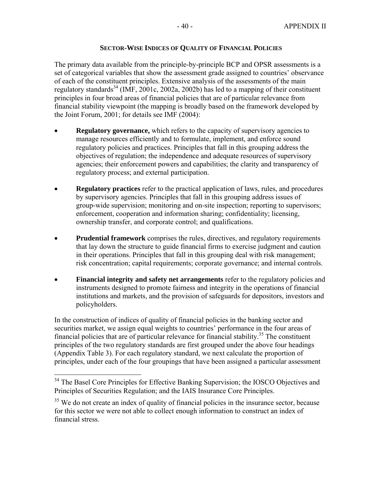# **SECTOR-WISE INDICES OF QUALITY OF FINANCIAL POLICIES**

The primary data available from the principle-by-principle BCP and OPSR assessments is a set of categorical variables that show the assessment grade assigned to countries' observance of each of the constituent principles. Extensive analysis of the assessments of the main regulatory standards<sup>34</sup> (IMF, 2001c, 2002a, 2002b) has led to a mapping of their constituent principles in four broad areas of financial policies that are of particular relevance from financial stability viewpoint (the mapping is broadly based on the framework developed by the Joint Forum, 2001; for details see IMF (2004):

- **Regulatory governance,** which refers to the capacity of supervisory agencies to manage resources efficiently and to formulate, implement, and enforce sound regulatory policies and practices. Principles that fall in this grouping address the objectives of regulation; the independence and adequate resources of supervisory agencies; their enforcement powers and capabilities; the clarity and transparency of regulatory process; and external participation.
- **Regulatory practices** refer to the practical application of laws, rules, and procedures by supervisory agencies. Principles that fall in this grouping address issues of group-wide supervision; monitoring and on-site inspection; reporting to supervisors; enforcement, cooperation and information sharing; confidentiality; licensing, ownership transfer, and corporate control; and qualifications.
- **Prudential framework** comprises the rules, directives, and regulatory requirements that lay down the structure to guide financial firms to exercise judgment and caution in their operations. Principles that fall in this grouping deal with risk management; risk concentration; capital requirements; corporate governance; and internal controls.
- **Financial integrity and safety net arrangements** refer to the regulatory policies and instruments designed to promote fairness and integrity in the operations of financial institutions and markets, and the provision of safeguards for depositors, investors and policyholders.

In the construction of indices of quality of financial policies in the banking sector and securities market, we assign equal weights to countries' performance in the four areas of financial policies that are of particular relevance for financial stability.<sup>35</sup> The constituent principles of the two regulatory standards are first grouped under the above four headings (Appendix Table 3). For each regulatory standard, we next calculate the proportion of principles, under each of the four groupings that have been assigned a particular assessment

 $\overline{a}$ 

<sup>&</sup>lt;sup>34</sup> The Basel Core Principles for Effective Banking Supervision; the IOSCO Objectives and Principles of Securities Regulation; and the IAIS Insurance Core Principles.

<sup>&</sup>lt;sup>35</sup> We do not create an index of quality of financial policies in the insurance sector, because for this sector we were not able to collect enough information to construct an index of financial stress.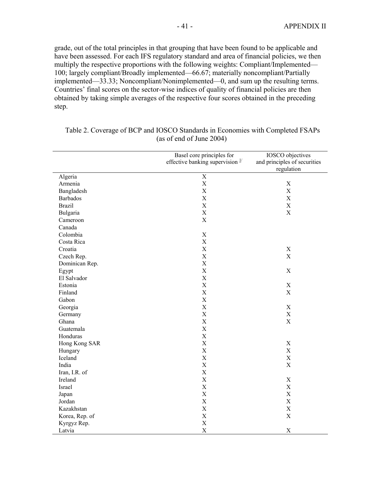grade, out of the total principles in that grouping that have been found to be applicable and have been assessed. For each IFS regulatory standard and area of financial policies, we then multiply the respective proportions with the following weights: Compliant/Implemented— 100; largely compliant/Broadly implemented—66.67; materially noncompliant/Partially implemented—33.33; Noncompliant/Nonimplemented—0, and sum up the resulting terms. Countries' final scores on the sector-wise indices of quality of financial policies are then obtained by taking simple averages of the respective four scores obtained in the preceding step.

|                 | Basel core principles for<br>effective banking supervision $1/$ | <b>IOSCO</b> objectives<br>and principles of securities<br>regulation |
|-----------------|-----------------------------------------------------------------|-----------------------------------------------------------------------|
| Algeria         | $\overline{X}$                                                  |                                                                       |
| Armenia         | $\mathbf X$                                                     | $\mathbf X$                                                           |
| Bangladesh      | $\mathbf X$                                                     | $\mathbf X$                                                           |
| <b>Barbados</b> | $\mathbf X$                                                     | $\mathbf X$                                                           |
| <b>Brazil</b>   | $\mathbf X$                                                     | $\mathbf X$                                                           |
| Bulgaria        | $\boldsymbol{\mathrm{X}}$                                       | $\mathbf X$                                                           |
| Cameroon        | $\boldsymbol{\mathrm{X}}$                                       |                                                                       |
| Canada          |                                                                 |                                                                       |
| Colombia        | $\mathbf X$                                                     |                                                                       |
| Costa Rica      | $\mathbf X$                                                     |                                                                       |
| Croatia         | $\mathbf X$                                                     | $\mathbf X$                                                           |
| Czech Rep.      | $\mathbf X$                                                     | $\mathbf X$                                                           |
| Dominican Rep.  | $\mathbf X$                                                     |                                                                       |
| Egypt           | $\boldsymbol{\mathrm{X}}$                                       | $\mathbf X$                                                           |
| El Salvador     | $\boldsymbol{\mathrm{X}}$                                       |                                                                       |
| Estonia         | $\mathbf X$                                                     | $\mathbf X$                                                           |
| Finland         | $\mathbf X$                                                     | $\mathbf X$                                                           |
| Gabon           | X                                                               |                                                                       |
| Georgia         | $\boldsymbol{\mathrm{X}}$                                       | $\mathbf X$                                                           |
| Germany         | $\boldsymbol{\mathrm{X}}$                                       | $\mathbf X$                                                           |
| Ghana           | $\boldsymbol{\mathrm{X}}$                                       | $\mathbf X$                                                           |
| Guatemala       | $\mathbf X$                                                     |                                                                       |
| Honduras        | $\mathbf X$                                                     |                                                                       |
| Hong Kong SAR   | $\mathbf X$                                                     | $\mathbf X$                                                           |
| Hungary         | $\boldsymbol{\mathrm{X}}$                                       | $\mathbf X$                                                           |
| Iceland         | $\mathbf X$                                                     | $\mathbf X$                                                           |
| India           | $\mathbf X$                                                     | $\boldsymbol{\mathrm{X}}$                                             |
| Iran, I.R. of   | $\mathbf X$                                                     |                                                                       |
| Ireland         | $\boldsymbol{\mathrm{X}}$                                       | $\mathbf X$                                                           |
| Israel          | $\mathbf X$                                                     | $\mathbf X$                                                           |
| Japan           | $\mathbf X$                                                     | $\mathbf X$                                                           |
| Jordan          | $\boldsymbol{\mathrm{X}}$                                       | $\mathbf X$                                                           |
| Kazakhstan      | $\boldsymbol{\mathrm{X}}$                                       | $\mathbf X$                                                           |
| Korea, Rep. of  | $\boldsymbol{\mathrm{X}}$                                       | $\mathbf X$                                                           |
| Kyrgyz Rep.     | $\mathbf X$                                                     |                                                                       |
| Latvia          | $\mathbf X$                                                     | $\mathbf X$                                                           |

 Table 2. Coverage of BCP and IOSCO Standards in Economies with Completed FSAPs (as of end of June 2004)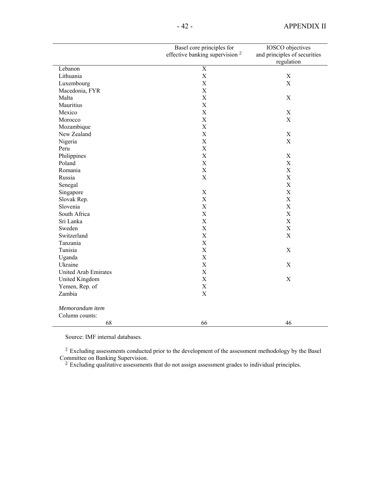|                             | Basel core principles for                   | IOSCO objectives             |
|-----------------------------|---------------------------------------------|------------------------------|
|                             | effective banking supervision $\frac{1}{2}$ | and principles of securities |
|                             |                                             | regulation                   |
| Lebanon                     | $\overline{\mathbf{X}}$                     |                              |
| Lithuania                   | $\mathbf X$                                 | X                            |
| Luxembourg                  | $\mathbf X$                                 | $\mathbf X$                  |
| Macedonia, FYR              | $\mathbf X$                                 |                              |
| Malta                       | $\boldsymbol{\mathrm{X}}$                   | X                            |
| Mauritius                   | $\mathbf X$                                 |                              |
| Mexico                      | X                                           | X                            |
| Morocco                     | $\boldsymbol{\mathrm{X}}$                   | $\mathbf X$                  |
| Mozambique                  | $\mathbf X$                                 |                              |
| New Zealand                 | $\mathbf X$                                 | $\mathbf X$                  |
| Nigeria                     | $\mathbf X$                                 | $\mathbf X$                  |
| Peru                        | $\mathbf X$                                 |                              |
| Philippines                 | $\mathbf X$                                 | $\mathbf X$                  |
| Poland                      | $\mathbf X$                                 | $\mathbf X$                  |
| Romania                     | $\mathbf X$                                 | $\mathbf X$                  |
| Russia                      | X                                           | $\mathbf X$                  |
| Senegal                     |                                             | $\mathbf X$                  |
| Singapore                   | $\mathbf X$                                 | $\mathbf X$                  |
| Slovak Rep.                 | $\mathbf X$                                 | $\mathbf X$                  |
| Slovenia                    | $\mathbf X$                                 | $\mathbf X$                  |
| South Africa                | $\mathbf X$                                 | $\mathbf X$                  |
| Sri Lanka                   | $\mathbf X$                                 | $\mathbf X$                  |
| Sweden                      | $\mathbf X$                                 | $\mathbf X$                  |
| Switzerland                 | $\mathbf X$                                 | $\mathbf X$                  |
| Tanzania                    | $\mathbf X$                                 |                              |
| Tunisia                     | $\boldsymbol{\mathrm{X}}$                   | X                            |
| Uganda                      | $\mathbf X$                                 |                              |
| Ukraine                     | $\mathbf X$                                 | X                            |
| <b>United Arab Emirates</b> | $\mathbf X$                                 |                              |
| United Kingdom              | $\mathbf X$                                 | $\mathbf X$                  |
| Yemen, Rep. of              | $\mathbf X$                                 |                              |
| Zambia                      | $\mathbf X$                                 |                              |
|                             |                                             |                              |
| Memorandum item             |                                             |                              |
| Column counts:              |                                             |                              |
| 68                          | 66                                          | 46                           |

Source: IMF internal databases.

 $1/2$  Excluding assessments conducted prior to the development of the assessment methodology by the Basel Committee on Banking Supervision.<br><sup>2/</sup> Excluding qualitative assessments that do not assign assessment grades to individual principles.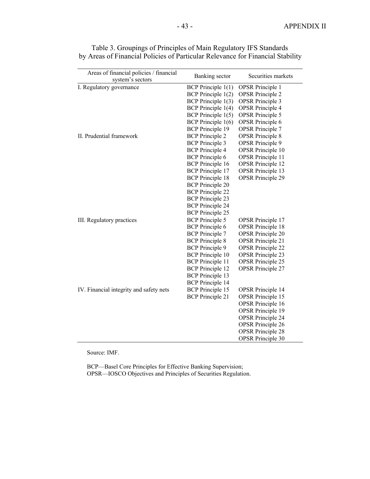| Areas of financial policies / financial<br>system's sectors | Banking sector          | Securities markets       |
|-------------------------------------------------------------|-------------------------|--------------------------|
| I. Regulatory governance                                    | BCP Principle $1(1)$    | <b>OPSR</b> Principle 1  |
|                                                             | $BCP$ Principle $1(2)$  | <b>OPSR</b> Principle 2  |
|                                                             | BCP Principle 1(3)      | <b>OPSR</b> Principle 3  |
|                                                             | $BCP$ Principle $1(4)$  | <b>OPSR</b> Principle 4  |
|                                                             | BCP Principle $1(5)$    | <b>OPSR</b> Principle 5  |
|                                                             | $BCP$ Principle $1(6)$  | <b>OPSR</b> Principle 6  |
|                                                             | <b>BCP</b> Principle 19 | <b>OPSR</b> Principle 7  |
| II. Prudential framework                                    | <b>BCP</b> Principle 2  | <b>OPSR</b> Principle 8  |
|                                                             | <b>BCP</b> Principle 3  | <b>OPSR</b> Principle 9  |
|                                                             | <b>BCP</b> Principle 4  | <b>OPSR</b> Principle 10 |
|                                                             | <b>BCP</b> Principle 6  | <b>OPSR</b> Principle 11 |
|                                                             | <b>BCP</b> Principle 16 | <b>OPSR</b> Principle 12 |
|                                                             | <b>BCP</b> Principle 17 | <b>OPSR</b> Principle 13 |
|                                                             | <b>BCP</b> Principle 18 | <b>OPSR</b> Principle 29 |
|                                                             | <b>BCP</b> Principle 20 |                          |
|                                                             | <b>BCP</b> Principle 22 |                          |
|                                                             | <b>BCP</b> Principle 23 |                          |
|                                                             | <b>BCP</b> Principle 24 |                          |
|                                                             | <b>BCP</b> Principle 25 |                          |
| III. Regulatory practices                                   | <b>BCP</b> Principle 5  | <b>OPSR</b> Principle 17 |
|                                                             | <b>BCP</b> Principle 6  | <b>OPSR</b> Principle 18 |
|                                                             | <b>BCP</b> Principle 7  | <b>OPSR</b> Principle 20 |
|                                                             | <b>BCP</b> Principle 8  | <b>OPSR</b> Principle 21 |
|                                                             | <b>BCP</b> Principle 9  | <b>OPSR</b> Principle 22 |
|                                                             | <b>BCP</b> Principle 10 | <b>OPSR</b> Principle 23 |
|                                                             | <b>BCP</b> Principle 11 | <b>OPSR</b> Principle 25 |
|                                                             | <b>BCP</b> Principle 12 | <b>OPSR</b> Principle 27 |
|                                                             | <b>BCP</b> Principle 13 |                          |
|                                                             | <b>BCP</b> Principle 14 |                          |
| IV. Financial integrity and safety nets                     | <b>BCP</b> Principle 15 | <b>OPSR</b> Principle 14 |
|                                                             | <b>BCP</b> Principle 21 | <b>OPSR</b> Principle 15 |
|                                                             |                         | <b>OPSR</b> Principle 16 |
|                                                             |                         | <b>OPSR</b> Principle 19 |
|                                                             |                         | <b>OPSR</b> Principle 24 |
|                                                             |                         | <b>OPSR</b> Principle 26 |
|                                                             |                         | <b>OPSR</b> Principle 28 |
|                                                             |                         | <b>OPSR</b> Principle 30 |

 Table 3. Groupings of Principles of Main Regulatory IFS Standards by Areas of Financial Policies of Particular Relevance for Financial Stability

Source: IMF.

BCP—Basel Core Principles for Effective Banking Supervision; OPSR—IOSCO Objectives and Principles of Securities Regulation.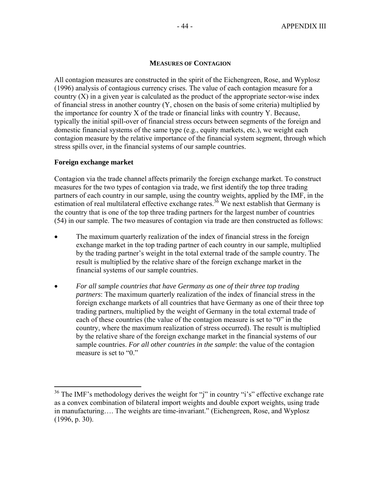# **MEASURES OF CONTAGION**

All contagion measures are constructed in the spirit of the Eichengreen, Rose, and Wyplosz (1996) analysis of contagious currency crises. The value of each contagion measure for a country (X) in a given year is calculated as the product of the appropriate sector-wise index of financial stress in another country (Y, chosen on the basis of some criteria) multiplied by the importance for country X of the trade or financial links with country Y. Because, typically the initial spill-over of financial stress occurs between segments of the foreign and domestic financial systems of the same type (e.g., equity markets, etc.), we weight each contagion measure by the relative importance of the financial system segment, through which stress spills over, in the financial systems of our sample countries.

## **Foreign exchange market**

 $\overline{a}$ 

Contagion via the trade channel affects primarily the foreign exchange market. To construct measures for the two types of contagion via trade, we first identify the top three trading partners of each country in our sample, using the country weights, applied by the IMF, in the estimation of real multilateral effective exchange rates.<sup>36</sup> We next establish that Germany is the country that is one of the top three trading partners for the largest number of countries (54) in our sample. The two measures of contagion via trade are then constructed as follows:

- The maximum quarterly realization of the index of financial stress in the foreign exchange market in the top trading partner of each country in our sample, multiplied by the trading partner's weight in the total external trade of the sample country. The result is multiplied by the relative share of the foreign exchange market in the financial systems of our sample countries.
- *For all sample countries that have Germany as one of their three top trading partners*: The maximum quarterly realization of the index of financial stress in the foreign exchange markets of all countries that have Germany as one of their three top trading partners, multiplied by the weight of Germany in the total external trade of each of these countries (the value of the contagion measure is set to "0" in the country, where the maximum realization of stress occurred). The result is multiplied by the relative share of the foreign exchange market in the financial systems of our sample countries. *For all other countries in the sample*: the value of the contagion measure is set to "0."

 $36$  The IMF's methodology derives the weight for "j" in country "i's" effective exchange rate as a convex combination of bilateral import weights and double export weights, using trade in manufacturing…. The weights are time-invariant." (Eichengreen, Rose, and Wyplosz (1996, p. 30).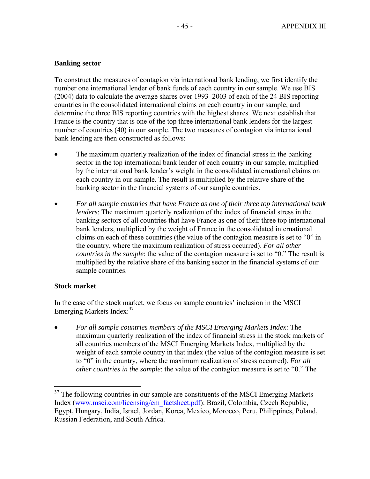# **Banking sector**

To construct the measures of contagion via international bank lending, we first identify the number one international lender of bank funds of each country in our sample. We use BIS (2004) data to calculate the average shares over 1993–2003 of each of the 24 BIS reporting countries in the consolidated international claims on each country in our sample, and determine the three BIS reporting countries with the highest shares. We next establish that France is the country that is one of the top three international bank lenders for the largest number of countries (40) in our sample. The two measures of contagion via international bank lending are then constructed as follows:

- The maximum quarterly realization of the index of financial stress in the banking sector in the top international bank lender of each country in our sample, multiplied by the international bank lender's weight in the consolidated international claims on each country in our sample. The result is multiplied by the relative share of the banking sector in the financial systems of our sample countries.
- *For all sample countries that have France as one of their three top international bank lenders*: The maximum quarterly realization of the index of financial stress in the banking sectors of all countries that have France as one of their three top international bank lenders, multiplied by the weight of France in the consolidated international claims on each of these countries (the value of the contagion measure is set to "0" in the country, where the maximum realization of stress occurred). *For all other countries in the sample*: the value of the contagion measure is set to "0." The result is multiplied by the relative share of the banking sector in the financial systems of our sample countries.

# **Stock market**

1

In the case of the stock market, we focus on sample countries' inclusion in the MSCI Emerging Markets Index:<sup>37</sup>

• *For all sample countries members of the MSCI Emerging Markets Index*: The maximum quarterly realization of the index of financial stress in the stock markets of all countries members of the MSCI Emerging Markets Index, multiplied by the weight of each sample country in that index (the value of the contagion measure is set to "0" in the country, where the maximum realization of stress occurred). *For all other countries in the sample*: the value of the contagion measure is set to "0." The

 $37$  The following countries in our sample are constituents of the MSCI Emerging Markets Index (www.msci.com/licensing/em\_factsheet.pdf): Brazil, Colombia, Czech Republic, Egypt, Hungary, India, Israel, Jordan, Korea, Mexico, Morocco, Peru, Philippines, Poland, Russian Federation, and South Africa.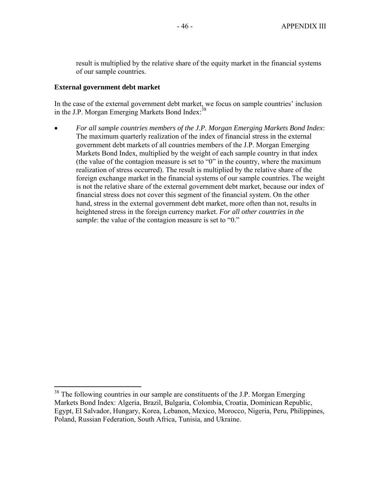result is multiplied by the relative share of the equity market in the financial systems of our sample countries.

## **External government debt market**

1

In the case of the external government debt market, we focus on sample countries' inclusion in the J.P. Morgan Emerging Markets Bond Index:<sup>38</sup>

• *For all sample countries members of the J.P. Morgan Emerging Markets Bond Index*: The maximum quarterly realization of the index of financial stress in the external government debt markets of all countries members of the J.P. Morgan Emerging Markets Bond Index, multiplied by the weight of each sample country in that index (the value of the contagion measure is set to "0" in the country, where the maximum realization of stress occurred). The result is multiplied by the relative share of the foreign exchange market in the financial systems of our sample countries. The weight is not the relative share of the external government debt market, because our index of financial stress does not cover this segment of the financial system. On the other hand, stress in the external government debt market, more often than not, results in heightened stress in the foreign currency market. *For all other countries in the sample*: the value of the contagion measure is set to "0."

 $38$  The following countries in our sample are constituents of the J.P. Morgan Emerging Markets Bond Index: Algeria, Brazil, Bulgaria, Colombia, Croatia, Dominican Republic, Egypt, El Salvador, Hungary, Korea, Lebanon, Mexico, Morocco, Nigeria, Peru, Philippines, Poland, Russian Federation, South Africa, Tunisia, and Ukraine.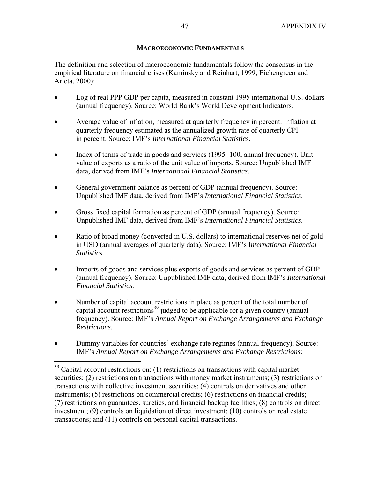# **MACROECONOMIC FUNDAMENTALS**

The definition and selection of macroeconomic fundamentals follow the consensus in the empirical literature on financial crises (Kaminsky and Reinhart, 1999; Eichengreen and Arteta, 2000):

- Log of real PPP GDP per capita, measured in constant 1995 international U.S. dollars (annual frequency). Source: World Bank's World Development Indicators.
- Average value of inflation, measured at quarterly frequency in percent. Inflation at quarterly frequency estimated as the annualized growth rate of quarterly CPI in percent. Source: IMF's *International Financial Statistics*.
- Index of terms of trade in goods and services (1995=100, annual frequency). Unit value of exports as a ratio of the unit value of imports. Source: Unpublished IMF data, derived from IMF's *International Financial Statistics*.
- General government balance as percent of GDP (annual frequency). Source: Unpublished IMF data, derived from IMF's *International Financial Statistics*.
- Gross fixed capital formation as percent of GDP (annual frequency). Source: Unpublished IMF data, derived from IMF's *International Financial Statistics*.
- Ratio of broad money (converted in U.S. dollars) to international reserves net of gold in USD (annual averages of quarterly data). Source: IMF's I*nternational Financial Statistics*.
- Imports of goods and services plus exports of goods and services as percent of GDP (annual frequency). Source: Unpublished IMF data, derived from IMF's *International Financial Statistics*.
- Number of capital account restrictions in place as percent of the total number of capital account restrictions<sup>39</sup> judged to be applicable for a given country (annual frequency). Source: IMF's *Annual Report on Exchange Arrangements and Exchange Restrictions*.
- Dummy variables for countries' exchange rate regimes (annual frequency). Source: IMF's *Annual Report on Exchange Arrangements and Exchange Restrictions*:

 $\overline{a}$ 

 $39$  Capital account restrictions on: (1) restrictions on transactions with capital market securities; (2) restrictions on transactions with money market instruments; (3) restrictions on transactions with collective investment securities; (4) controls on derivatives and other instruments; (5) restrictions on commercial credits; (6) restrictions on financial credits; (7) restrictions on guarantees, sureties, and financial backup facilities; (8) controls on direct investment; (9) controls on liquidation of direct investment; (10) controls on real estate transactions; and (11) controls on personal capital transactions.